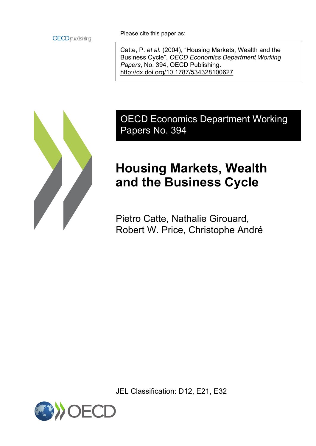**OECD** publishing

Please cite this paper as:

Catte, P. *et al.* (2004), "Housing Markets, Wealth and the Business Cycle", *OECD Economics Department Working Papers*, No. 394, OECD Publishing. <http://dx.doi.org/10.1787/534328100627>



OECD Economics Department Working Papers No. 394

# **Housing Markets, Wealth and the Business Cycle**

Pietro Catte, Nathalie Girouard, Robert W. Price, Christophe André

JEL Classification: D12, E21, E32

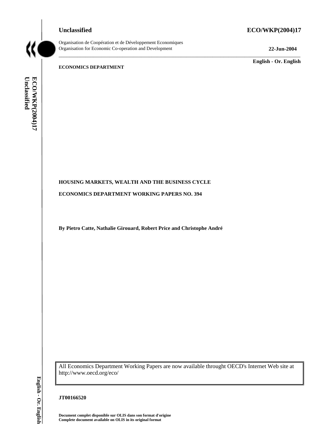# **Unclassified ECO/WKP(2004)17**



Organisation de Coopération et de Développement Economiques Organisation for Economic Co-operation and Development **22-Jun-2004** 

\_\_\_\_\_\_\_\_\_\_\_\_\_\_\_\_\_\_\_\_\_\_\_\_\_\_\_\_\_\_\_\_\_\_\_\_\_\_\_\_\_\_\_\_\_\_\_\_\_\_\_\_\_\_\_\_\_\_\_\_\_\_\_\_\_\_\_\_\_\_\_\_\_\_\_\_\_\_\_\_\_\_\_\_\_\_\_\_\_\_\_

\_\_\_\_\_\_\_\_\_\_\_\_\_ **English - Or. English** 

# **ECONOMICS DEPARTMENT**

Unclassified ECO/WKP(2004)17 **Unclassified ECO/WKP(2004)17 English - Or. English**

# **HOUSING MARKETS, WEALTH AND THE BUSINESS CYCLE**

**ECONOMICS DEPARTMENT WORKING PAPERS NO. 394** 

**By Pietro Catte, Nathalie Girouard, Robert Price and Christophe André** 

English - Or. English

All Economics Department Working Papers are now available throught OECD's Internet Web site at http://www.oecd.org/eco/

# **JT00166520**

**Document complet disponible sur OLIS dans son format d'origine Complete document available on OLIS in its original format**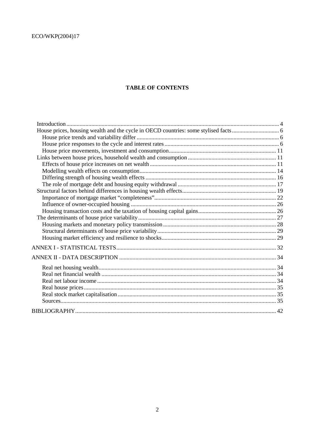# **TABLE OF CONTENTS**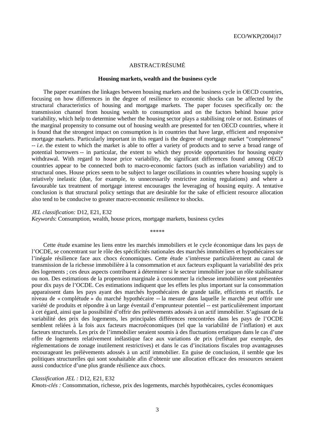# ABSTRACT/RÉSUMÉ

# **Housing markets, wealth and the business cycle**

The paper examines the linkages between housing markets and the business cycle in OECD countries, focusing on how differences in the degree of resilience to economic shocks can be affected by the structural characteristics of housing and mortgage markets. The paper focuses specifically on: the transmission channel from housing wealth to consumption and on the factors behind house price variability, which help to determine whether the housing sector plays a stabilising role or not. Estimates of the marginal propensity to consume out of housing wealth are presented for ten OECD countries, where it is found that the strongest impact on consumption is in countries that have large, efficient and responsive mortgage markets. Particularly important in this regard is the degree of mortgage market "completeness" -- *i.e.* the extent to which the market is able to offer a variety of products and to serve a broad range of potential borrowers -- in particular, the extent to which they provide opportunities for housing equity withdrawal. With regard to house price variability, the significant differences found among OECD countries appear to be connected both to macro-economic factors (such as inflation variability) and to structural ones. House prices seem to be subject to larger oscillations in countries where housing supply is relatively inelastic (due, for example, to unnecessarily restrictive zoning regulations) and where a favourable tax treatment of mortgage interest encourages the leveraging of housing equity. A tentative conclusion is that structural policy settings that are desirable for the sake of efficient resource allocation also tend to be conducive to greater macro-economic resilience to shocks.

# *JEL classification:* D12, E21, E32

*Keywords*: Consumption, wealth, house prices, mortgage markets, business cycles

Cette étude examine les liens entre les marchés immobiliers et le cycle économique dans les pays de l'OCDE, se concentrant sur le rôle des spécificités nationales des marchés immobiliers et hypothécaires sur l'inégale résilience face aux chocs économiques. Cette étude s'intéresse particulièrement au canal de transmission de la richesse immobilière à la consommation et aux facteurs expliquant la variabilité des prix des logements ; ces deux aspects contribuent à déterminer si le secteur immobilier joue un rôle stabilisateur ou non. Des estimations de la propension marginale à consommer la richesse immobilière sont présentées pour dix pays de l'OCDE. Ces estimations indiquent que les effets les plus important sur la consommation apparaissent dans les pays ayant des marchés hypothécaires de grande taille, efficients et réactifs. Le niveau de « complétude » du marché hypothécaire -- la mesure dans laquelle le marché peut offrir une variété de produits et répondre à un large éventail d'emprunteur potentiel -- est particulièrement important à cet égard, ainsi que la possibilité d'offrir des prélèvements adossés à un actif immobilier. S'agissant de la variabilité des prix des logements, les principales différences rencontrées dans les pays de l'OCDE semblent reliées à la fois aux facteurs macroéconomiques (tel que la variabilité de l'inflation) et aux facteurs structurels. Les prix de l'immobilier seraient soumis à des fluctuations erratiques dans le cas d'une offre de logements relativement inélastique face aux variations de prix (reflétant par exemple, des réglementations de zonage inutilement restrictives) et dans le cas d'incitations fiscales trop avantageuses encourageant les prélèvements adossés à un actif immobilier. En guise de conclusion, il semble que les politiques structurelles qui sont souhaitable afin d'obtenir une allocation efficace des ressources seraient aussi conductrice d'une plus grande résilience aux chocs.

\*\*\*\*\*

# *Classification JEL :* D12, E21, E32

*Kmots-clés :* Consommation, richesse, prix des logements, marchés hypothècaires, cycles économiques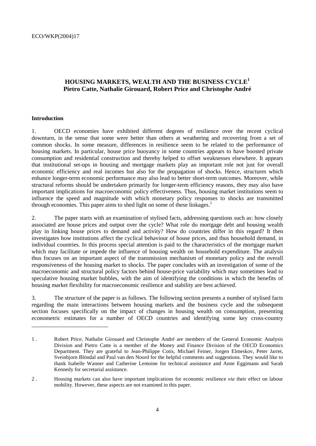# **HOUSING MARKETS, WEALTH AND THE BUSINESS CYCLE1 Pietro Catte, Nathalie Girouard, Robert Price and Christophe André**

# **Introduction**

 $\overline{a}$ 

1. OECD economies have exhibited different degrees of resilience over the recent cyclical downturn, in the sense that some were better than others at weathering and recovering from a set of common shocks. In some measure, differences in resilience seem to be related to the performance of housing markets. In particular, house price buoyancy in some countries appears to have boosted private consumption and residential construction and thereby helped to offset weaknesses elsewhere. It appears that institutional set-ups in housing and mortgage markets play an important role not just for overall economic efficiency and real incomes but also for the propagation of shocks. Hence, structures which enhance longer-term economic performance may also lead to better short-term outcomes. Moreover, while structural reforms should be undertaken primarily for longer-term efficiency reasons, they may also have important implications for macroeconomic policy effectiveness. Thus, housing market institutions seem to influence the speed and magnitude with which monetary policy responses to shocks are transmitted through economies. This paper aims to shed light on some of these linkages. $<sup>2</sup>$ </sup>

2. The paper starts with an examination of stylised facts, addressing questions such as: how closely associated are house prices and output over the cycle? What role do mortgage debt and housing wealth play in linking house prices to demand and activity? How do countries differ in this regard? It then investigates how institutions affect the cyclical behaviour of house prices, and thus household demand, in individual countries. In this process special attention is paid to the characteristics of the mortgage market which may facilitate or impede the influence of housing wealth on household expenditure. The analysis thus focuses on an important aspect of the transmission mechanism of monetary policy and the overall responsiveness of the housing market to shocks. The paper concludes with an investigation of some of the macroeconomic and structural policy factors behind house-price variability which may sometimes lead to speculative housing market bubbles, with the aim of identifying the conditions in which the benefits of housing market flexibility for macroeconomic resilience and stability are best achieved.

3. The structure of the paper is as follows. The following section presents a number of stylised facts regarding the main interactions between housing markets and the business cycle and the subsequent section focuses specifically on the impact of changes in housing wealth on consumption, presenting econometric estimates for a number of OECD countries and identifying some key cross-country

<sup>1 .</sup> Robert Price, Nathalie Girouard and Christophe André are members of the General Economic Analysis Division and Pietro Catte is a member of the Money and Finance Division of the OECD Economics Department. They are grateful to Jean-Philippe Cotis, Michael Feiner, Jorgen Elmeskov, Peter Jarret, Sveinbjorn Blöndal and Paul van den Noord for the helpful comments and suggestions. They would like to thank Isabelle Wanner and Catherine Lemoine for technical assistance and Anne Eggimann and Sarah Kennedy for secretarial assistance.

<sup>2 .</sup> Housing markets can also have important implications for economic resilience *via* their effect on labour mobility. However, these aspects are not examined in this paper.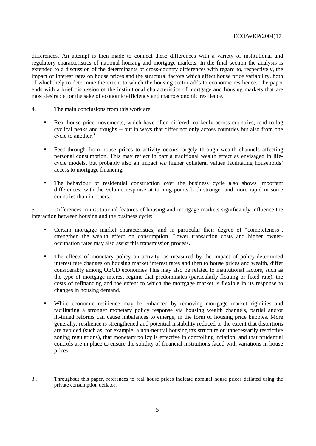differences. An attempt is then made to connect these differences with a variety of institutional and regulatory characteristics of national housing and mortgage markets. In the final section the analysis is extended to a discussion of the determinants of cross-country differences with regard to, respectively, the impact of interest rates on house prices and the structural factors which affect house price variability, both of which help to determine the extent to which the housing sector adds to economic resilience. The paper ends with a brief discussion of the institutional characteristics of mortgage and housing markets that are most desirable for the sake of economic efficiency and macroeconomic resilience.

4. The main conclusions from this work are:

 $\overline{a}$ 

- Real house price movements, which have often differed markedly across countries, tend to lag cyclical peaks and troughs -- but in ways that differ not only across countries but also from one cycle to another.<sup>3</sup>
- Feed-through from house prices to activity occurs largely through wealth channels affecting personal consumption. This may reflect in part a traditional wealth effect as envisaged in lifecycle models, but probably also an impact *via* higher collateral values facilitating households' access to mortgage financing.
- The behaviour of residential construction over the business cycle also shows important differences, with the volume response at turning points both stronger and more rapid in some countries than in others.

5. Differences in institutional features of housing and mortgage markets significantly influence the interaction between housing and the business cycle:

- Certain mortgage market characteristics, and in particular their degree of "completeness", strengthen the wealth effect on consumption. Lower transaction costs and higher owneroccupation rates may also assist this transmission process.
- The effects of monetary policy on activity, as measured by the impact of policy-determined interest rate changes on housing market interest rates and then to house prices and wealth, differ considerably among OECD economies This may also be related to institutional factors, such as the type of mortgage interest regime that predominates (particularly floating or fixed rate), the costs of refinancing and the extent to which the mortgage market is flexible in its response to changes in housing demand.
- While economic resilience may be enhanced by removing mortgage market rigidities and facilitating a stronger monetary policy response via housing wealth channels, partial and/or ill-timed reforms can cause imbalances to emerge, in the form of housing price bubbles. More generally, resilience is strengthened and potential instability reduced to the extent that distortions are avoided (such as, for example, a non-neutral housing tax structure or unnecessarily restrictive zoning regulations), that monetary policy is effective in controlling inflation, and that prudential controls are in place to ensure the solidity of financial institutions faced with variations in house prices.

<sup>3 .</sup> Throughout this paper, references to real house prices indicate nominal house prices deflated using the private consumption deflator.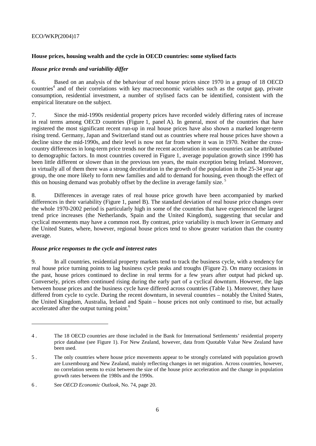# **House prices, housing wealth and the cycle in OECD countries: some stylised facts**

# *House price trends and variability differ*

6. Based on an analysis of the behaviour of real house prices since 1970 in a group of 18 OECD countries<sup>4</sup> and of their correlations with key macroeconomic variables such as the output gap, private consumption, residential investment, a number of stylised facts can be identified, consistent with the empirical literature on the subject.

7. Since the mid-1990s residential property prices have recorded widely differing rates of increase in real terms among OECD countries (Figure 1, panel A). In general, most of the countries that have registered the most significant recent run-up in real house prices have also shown a marked longer-term rising trend. Germany, Japan and Switzerland stand out as countries where real house prices have shown a decline since the mid-1990s, and their level is now not far from where it was in 1970. Neither the crosscountry differences in long-term price trends nor the recent acceleration in some countries can be attributed to demographic factors. In most countries covered in Figure 1, average population growth since 1990 has been little different or slower than in the previous ten years, the main exception being Ireland. Moreover, in virtually all of them there was a strong deceleration in the growth of the population in the 25-34 year age group, the one more likely to form new families and add to demand for housing, even though the effect of this on housing demand was probably offset by the decline in average family size.<sup>5</sup>

8. Differences in average rates of real house price growth have been accompanied by marked differences in their variability (Figure 1, panel B). The standard deviation of real house price changes over the whole 1970-2002 period is particularly high in some of the countries that have experienced the largest trend price increases (the Netherlands, Spain and the United Kingdom), suggesting that secular and cyclical movements may have a common root. By contrast, price variability is much lower in Germany and the United States, where, however, regional house prices tend to show greater variation than the country average.

# *House price responses to the cycle and interest rates*

9. In all countries, residential property markets tend to track the business cycle, with a tendency for real house price turning points to lag business cycle peaks and troughs (Figure 2). On many occasions in the past, house prices continued to decline in real terms for a few years after output had picked up. Conversely, prices often continued rising during the early part of a cyclical downturn. However, the lags between house prices and the business cycle have differed across countries (Table 1). Moreover, they have differed from cycle to cycle. During the recent downturn, in several countries – notably the United States, the United Kingdom, Australia, Ireland and Spain – house prices not only continued to rise, but actually accelerated after the output turning point.<sup>6</sup>

 $\overline{a}$ 

<sup>4 .</sup> The 18 OECD countries are those included in the Bank for International Settlements' residential property price database (see Figure 1). For New Zealand, however, data from Quotable Value New Zealand have been used.

<sup>5 .</sup> The only countries where house price movements appear to be strongly correlated with population growth are Luxembourg and New Zealand, mainly reflecting changes in net migration. Across countries, however, no correlation seems to exist between the size of the house price acceleration and the change in population growth rates between the 1980s and the 1990s.

<sup>6 .</sup> See *OECD Economic Outlook,* No. 74, page 20.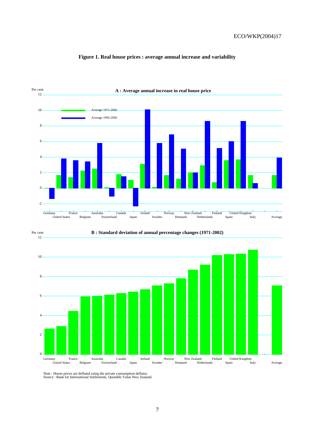

# **Figure 1. Real house prices : average annual increase and variability**



Note : House prices are deflated using the private consumption deflator. Source : Bank for International Settlements, Quotable Value New Zealand.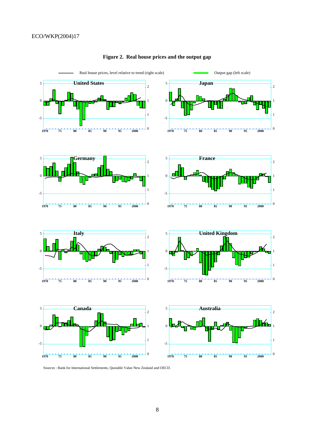

# **Figure 2. Real house prices and the output gap**

Sources : Bank for International Settlements, Quotable Value New Zealand and OECD.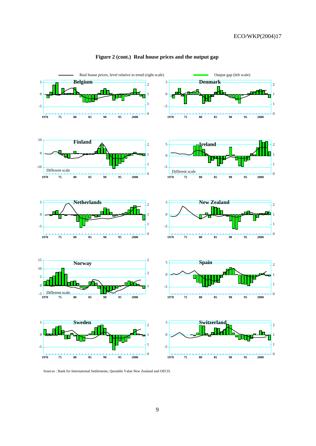

# **Figure 2 (cont.) Real house prices and the output gap**

Sources : Bank for International Settlements, Quotable Value New Zealand and OECD.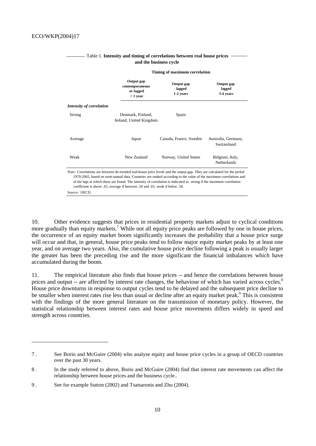$\overline{a}$ 

|                          |                                                                                                                                                                                                                                                                                                                                                                                                                                                              | Timing of maximum correlation     |                                    |  |
|--------------------------|--------------------------------------------------------------------------------------------------------------------------------------------------------------------------------------------------------------------------------------------------------------------------------------------------------------------------------------------------------------------------------------------------------------------------------------------------------------|-----------------------------------|------------------------------------|--|
|                          | Output gap<br>contemporaneous<br>or lagged<br>$< 1$ year                                                                                                                                                                                                                                                                                                                                                                                                     | Output gap<br>lagged<br>1-2 years | Output gap<br>lagged<br>3-4 years  |  |
| Intensity of correlation |                                                                                                                                                                                                                                                                                                                                                                                                                                                              |                                   |                                    |  |
| Strong                   | Denmark, Finland,<br>Ireland, United Kingdom                                                                                                                                                                                                                                                                                                                                                                                                                 | Spain                             |                                    |  |
| Average                  | Japan                                                                                                                                                                                                                                                                                                                                                                                                                                                        | Canada, France, Sweden            | Australia, Germany,<br>Switzerland |  |
| Weak                     | New Zealand                                                                                                                                                                                                                                                                                                                                                                                                                                                  | Norway, United States             | Belgium, Italy,<br>Netherlands     |  |
| Source: OECD.            | <i>Note:</i> Correlations are between de-trended real-house price levels and the output gap. They are calculated for the period<br>1970-2002, based on semi-annual data. Countries are ranked according to the value of the maximum correlations and<br>of the lags at which these are found. The intensity of correlation is indicated as strong if the maximum correlation<br>coefficient is above .65, average if between .50 and .65, weak if below .50. |                                   |                                    |  |

# Table 1. **Intensity and timing of correlations between real house prices and the business cycle**

10. Other evidence suggests that prices in residential property markets adjust to cyclical conditions more gradually than equity markets.<sup>7</sup> While not all equity price peaks are followed by one in house prices, the occurrence of an equity market boom significantly increases the probability that a house price surge will occur and that, in general, house price peaks tend to follow major equity market peaks by at least one year, and on average two years. Also, the cumulative house price decline following a peak is usually larger the greater has been the preceding rise and the more significant the financial imbalances which have accumulated during the boom.

11. The empirical literature also finds that house prices -- and hence the correlations between house prices and output -- are affected by interest rate changes, the behaviour of which has varied across cycles.<sup>8</sup> House price downturns in response to output cycles tend to be delayed and the subsequent price decline to be smaller when interest rates rise less than usual or decline after an equity market peak.<sup>9</sup> This is consistent with the findings of the more general literature on the transmission of monetary policy. However, the statistical relationship between interest rates and house price movements differs widely in speed and strength across countries.

<sup>7 .</sup> See Borio and McGuire (2004) who analyse equity and house price cycles in a group of OECD countries over the past 30 years.

<sup>8 .</sup> In the study referred to above, Borio and McGuire (2004) find that interest rate movements can affect the relationship between house prices and the business cycle..

<sup>9 .</sup> See for example Sutton (2002) and Tsatsaronis and Zhu (2004).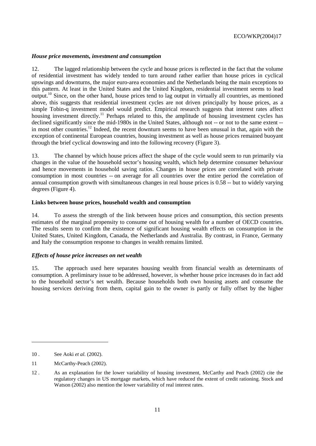# *House price movements, investment and consumption*

12. The lagged relationship between the cycle and house prices is reflected in the fact that the volume of residential investment has widely tended to turn around rather earlier than house prices in cyclical upswings and downturns, the major euro-area economies and the Netherlands being the main exceptions to this pattern. At least in the United States and the United Kingdom, residential investment seems to lead output.10 Since, on the other hand, house prices tend to lag output in virtually all countries, as mentioned above, this suggests that residential investment cycles are not driven principally by house prices, as a simple Tobin-q investment model would predict. Empirical research suggests that interest rates affect housing investment directly.<sup>11</sup> Perhaps related to this, the amplitude of housing investment cycles has declined significantly since the mid-1980s in the United States, although not -- or not to the same extent -in most other countries.<sup>12</sup> Indeed, the recent downturn seems to have been unusual in that, again with the exception of continental European countries, housing investment as well as house prices remained buoyant through the brief cyclical downswing and into the following recovery (Figure 3).

13. The channel by which house prices affect the shape of the cycle would seem to run primarily via changes in the value of the household sector's housing wealth, which help determine consumer behaviour and hence movements in household saving ratios. Changes in house prices are correlated with private consumption in most countries -- on average for all countries over the entire period the correlation of annual consumption growth with simultaneous changes in real house prices is 0.58 -- but to widely varying degrees (Figure 4).

# **Links between house prices, household wealth and consumption**

14. To assess the strength of the link between house prices and consumption, this section presents estimates of the marginal propensity to consume out of housing wealth for a number of OECD countries. The results seem to confirm the existence of significant housing wealth effects on consumption in the United States, United Kingdom, Canada, the Netherlands and Australia. By contrast, in France, Germany and Italy the consumption response to changes in wealth remains limited.

# *Effects of house price increases on net wealth*

15. The approach used here separates housing wealth from financial wealth as determinants of consumption. A preliminary issue to be addressed, however, is whether house price increases do in fact add to the household sector's net wealth. Because households both own housing assets and consume the housing services deriving from them, capital gain to the owner is partly or fully offset by the higher

 $\overline{a}$ 

<sup>10 .</sup> See Aoki *et al.* (2002).

<sup>11</sup> McCarthy-Peach (2002).

<sup>12 .</sup> As an explanation for the lower variability of housing investment, McCarthy and Peach (2002) cite the regulatory changes in US mortgage markets, which have reduced the extent of credit rationing. Stock and Watson (2002) also mention the lower variability of real interest rates.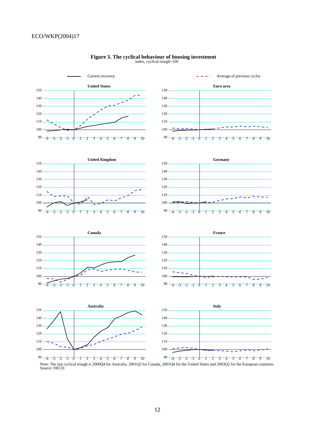

# **Figure 3. The cyclical behaviour of housing investment** index, cyclical trough=100

Note: The last cyclical trough is 2000Q4 for Australia, 2001Q3 for Canada, 2001Q4 for the United States and 2003Q2 for the European countries. Source: OECD.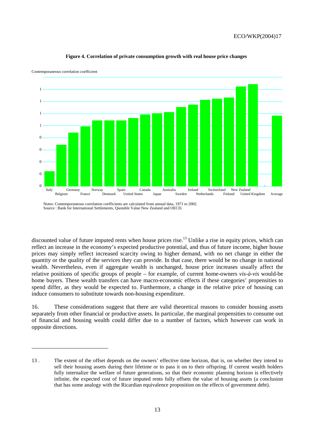

# **Figure 4. Correlation of private consumption growth with real house price changes**

Contemporaneous correlation coefficient

 $\overline{a}$ 

Notes: Contemporaneous correlation coefficients are calculated from annual data, 1971 to 2002. Source : Bank for International Settlements, Quotable Value New Zealand and OECD.

discounted value of future imputed rents when house prices rise.<sup>13</sup> Unlike a rise in equity prices, which can reflect an increase in the economy's expected productive potential, and thus of future income, higher house prices may simply reflect increased scarcity owing to higher demand, with no net change in either the quantity or the quality of the services they can provide. In that case, there would be no change in national wealth. Nevertheless, even if aggregate wealth is unchanged, house price increases usually affect the relative positions of specific groups of people – for example, of current home-owners *vis-à-vis* would-be home buyers. These wealth transfers can have macro-economic effects if these categories' propensities to spend differ, as they would be expected to. Furthermore, a change in the relative price of housing can induce consumers to substitute towards non-housing expenditure.

16. These considerations suggest that there are valid theoretical reasons to consider housing assets separately from other financial or productive assets. In particular, the marginal propensities to consume out of financial and housing wealth could differ due to a number of factors, which however can work in opposite directions.

<sup>13 .</sup> The extent of the offset depends on the owners' effective time horizon, that is, on whether they intend to sell their housing assets during their lifetime or to pass it on to their offspring. If current wealth holders fully internalize the welfare of future generations, so that their economic planning horizon is effectively infinite, the expected cost of future imputed rents fully offsets the value of housing assets (a conclusion that has some analogy with the Ricardian equivalence proposition on the effects of government debt).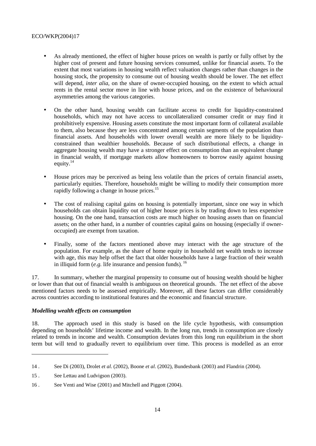- As already mentioned, the effect of higher house prices on wealth is partly or fully offset by the higher cost of present and future housing services consumed, unlike for financial assets. To the extent that most variations in housing wealth reflect valuation changes rather than changes in the housing stock, the propensity to consume out of housing wealth should be lower. The net effect will depend, *inter alia*, on the share of owner-occupied housing, on the extent to which actual rents in the rental sector move in line with house prices, and on the existence of behavioural asymmetries among the various categories.
- On the other hand, housing wealth can facilitate access to credit for liquidity-constrained households, which may not have access to uncollateralized consumer credit or may find it prohibitively expensive. Housing assets constitute the most important form of collateral available to them, also because they are less concentrated among certain segments of the population than financial assets. And households with lower overall wealth are more likely to be liquidityconstrained than wealthier households. Because of such distributional effects, a change in aggregate housing wealth may have a stronger effect on consumption than an equivalent change in financial wealth, if mortgage markets allow homeowners to borrow easily against housing equity. $^{14}$
- House prices may be perceived as being less volatile than the prices of certain financial assets, particularly equities. Therefore, households might be willing to modify their consumption more rapidly following a change in house prices.<sup>15</sup>
- The cost of realising capital gains on housing is potentially important, since one way in which households can obtain liquidity out of higher house prices is by trading down to less expensive housing. On the one hand, transaction costs are much higher on housing assets than on financial assets; on the other hand, in a number of countries capital gains on housing (especially if owneroccupied) are exempt from taxation.
- Finally, some of the factors mentioned above may interact with the age structure of the population. For example, as the share of home equity in household net wealth tends to increase with age, this may help offset the fact that older households have a large fraction of their wealth in illiquid form  $(e, g)$ . life insurance and pension funds). <sup>16</sup>

17. In summary, whether the marginal propensity to consume out of housing wealth should be higher or lower than that out of financial wealth is ambiguous on theoretical grounds. The net effect of the above mentioned factors needs to be assessed empirically. Moreover, all these factors can differ considerably across countries according to institutional features and the economic and financial structure.

# *Modelling wealth effects on consumption*

18. The approach used in this study is based on the life cycle hypothesis, with consumption depending on households' lifetime income and wealth. In the long run, trends in consumption are closely related to trends in income and wealth. Consumption deviates from this long run equilibrium in the short term but will tend to gradually revert to equilibrium over time. This process is modelled as an error

 $\overline{a}$ 

<sup>14 .</sup> See Di (2003), Drolet *et al*. (2002), Boone *et al.* (2002), Bundesbank (2003) and Flandrin (2004).

<sup>15 .</sup> See Lettau and Ludvigson (2003).

<sup>16 .</sup> See Venti and Wise (2001) and Mitchell and Piggott (2004).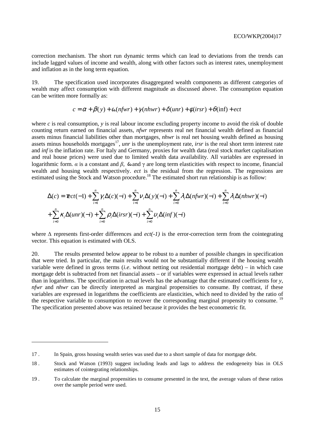correction mechanism. The short run dynamic terms which can lead to deviations from the trends can include lagged values of income and wealth, along with other factors such as interest rates, unemployment and inflation as in the long term equation.

19. The specification used incorporates disaggregated wealth components as different categories of wealth may affect consumption with different magnitude as discussed above. The consumption equation can be written more formally as:

$$
c = \alpha + \beta(y) + \omega(nfwr) + \gamma(nhwr) + \delta(unr) + \phi(irsr) + \theta(inf) + \text{ect}
$$

where  $c$  is real consumption,  $y$  is real labour income excluding property income to avoid the risk of double counting return earned on financial assets, *nfwr* represents real net financial wealth defined as financial assets minus financial liabilities other than mortgages, *nhwr* is real net housing wealth defined as housing assets minus households mortgages<sup>17</sup>, *unr* is the unemployment rate, *irsr* is the real short term interest rate and *inf* is the inflation rate. For Italy and Germany, proxies for wealth data (real stock market capitalisation and real house prices) were used due to limited wealth data availability. All variables are expressed in logarithmic form.  $\alpha$  is a constant and  $\beta$ ,  $\omega$  and  $\gamma$  are long term elasticities with respect to income, financial wealth and housing wealth respectively. *ect* is the residual from the regression. The regressions are estimated using the Stock and Watson procedure.<sup>18</sup> The estimated short run relationship is as follow:

$$
\Delta(c) = \text{zect}(-1) + \sum_{i=1}^{n} \gamma_i \Delta(c)(-i) + \sum_{i=1}^{n} \nu_i \Delta(y)(-i) + \sum_{i=0}^{n} \lambda_i \Delta(nfwr)(-i) + \sum_{i=0}^{n} \lambda_i \Delta(nhwr)(-i)
$$

$$
+ \sum_{i=0}^{n} \kappa_i \Delta(unr)(-i) + \sum_{i=0}^{n} \rho_i \Delta(irsr)(-i) + \sum_{i=0}^{n} \nu_i \Delta(inf)(-i)
$$

where *∆* represents first-order differences and *ect(-1)* is the error-correction term from the cointegrating vector. This equation is estimated with OLS.

20. The results presented below appear to be robust to a number of possible changes in specification that were tried. In particular, the main results would not be substantially different if the housing wealth variable were defined in gross terms (*i.e*. without netting out residential mortgage debt) – in which case mortgage debt is subtracted from net financial assets – or if variables were expressed in actual levels rather than in logarithms. The specification in actual levels has the advantage that the estimated coefficients for *y*, *nfwr* and *nhwr* can be directly interpreted as marginal propensities to consume. By contrast, if these variables are expressed in logarithms the coefficients are elasticities, which need to divided by the ratio of the respective variable to consumption to recover the corresponding marginal propensity to consume.<sup>19</sup> The specification presented above was retained because it provides the best econometric fit.

 $\overline{a}$ 

<sup>17 .</sup> In Spain, gross housing wealth series was used due to a short sample of data for mortgage debt.

<sup>18 .</sup> Stock and Watson (1993) suggest including leads and lags to address the endogeneity bias in OLS estimates of cointegrating relationships.

<sup>19 .</sup> To calculate the marginal propensities to consume presented in the text, the average values of these ratios over the sample period were used.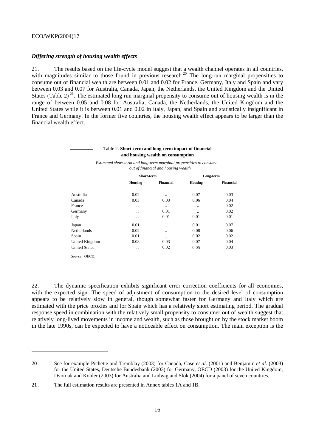$\overline{a}$ 

# *Differing strength of housing wealth effects*

21. The results based on the life-cycle model suggest that a wealth channel operates in all countries, with magnitudes similar to those found in previous research.<sup>20</sup> The long-run marginal propensities to consume out of financial wealth are between 0.01 and 0.02 for France, Germany, Italy and Spain and vary between 0.03 and 0.07 for Australia, Canada, Japan, the Netherlands, the United Kingdom and the United States (Table 2)<sup>21</sup>. The estimated long run marginal propensity to consume out of housing wealth is in the range of between 0.05 and 0.08 for Australia, Canada, the Netherlands, the United Kingdom and the United States while it is between 0.01 and 0.02 in Italy, Japan, and Spain and statistically insignificant in France and Germany. In the former five countries, the housing wealth effect appears to be larger than the financial wealth effect.

# Table 2. **Short-term and long-term impact of financial and housing wealth on consumption**

| Estimated short-term and long-term marginal propensities to consume |
|---------------------------------------------------------------------|
| out of financial and housing wealth                                 |

|                      | Short-term |                  | Long-term |                  |  |  |
|----------------------|------------|------------------|-----------|------------------|--|--|
|                      | Housing    | <b>Financial</b> | Housing   | <b>Financial</b> |  |  |
| Australia            | 0.02       | $\ddotsc$        | 0.07      | 0.03             |  |  |
| Canada               | 0.03       | 0.03             | 0.06      | 0.04             |  |  |
| France               |            | $\cdot$ .        |           | 0.02             |  |  |
| Germany              |            | 0.01             |           | 0.02             |  |  |
| Italy                |            | 0.01             | 0.01      | 0.01             |  |  |
| Japan                | 0.01       |                  | 0.01      | 0.07             |  |  |
| Netherlands          | 0.02       |                  | 0.08      | 0.06             |  |  |
| Spain                | 0.01       |                  | 0.02      | 0.02             |  |  |
| United Kingdom       | 0.08       | 0.03             | 0.07      | 0.04             |  |  |
| <b>United States</b> |            | 0.02             | 0.05      | 0.03             |  |  |

22. The dynamic specification exhibits significant error correction coefficients for all economies, with the expected sign. The speed of adjustment of consumption to the desired level of consumption appears to be relatively slow in general, though somewhat faster for Germany and Italy which are estimated with the price proxies and for Spain which has a relatively short estimating period. The gradual response speed in combination with the relatively small propensity to consumer out of wealth suggest that relatively long-lived movements in income and wealth, such as those brought on by the stock market boom in the late 1990s, can be expected to have a noticeable effect on consumption. The main exception is the

<sup>20 .</sup> See for example Pichette and Tremblay (2003) for Canada, Case *et al.* (2001) and Benjamin *et al*. (2003) for the United States, Deutsche Bundesbank (2003) for Germany, OECD (2003) for the United Kingdom, Dvornak and Kohler (2003) for Australia and Ludwig and Slok (2004) for a panel of seven countries.

<sup>21 .</sup> The full estimation results are presented in Annex tables 1A and 1B.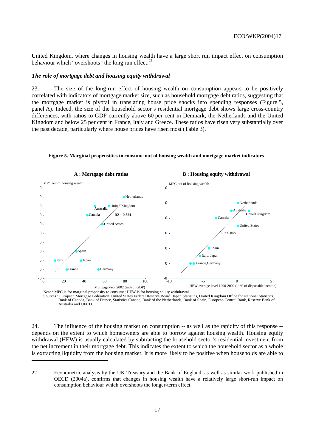United Kingdom, where changes in housing wealth have a large short run impact effect on consumption behaviour which "overshoots" the long run effect. $^{22}$ 

# *The role of mortgage debt and housing equity withdrawal*

 $\overline{a}$ 

23. The size of the long-run effect of housing wealth on consumption appears to be positively correlated with indicators of mortgage market size, such as household mortgage debt ratios, suggesting that the mortgage market is pivotal in translating house price shocks into spending responses (Figure 5, panel A). Indeed, the size of the household sector's residential mortgage debt shows large cross-country differences, with ratios to GDP currently above 60 per cent in Denmark, the Netherlands and the United Kingdom and below 25 per cent in France, Italy and Greece. These ratios have risen very substantially over the past decade, particularly where house prices have risen most (Table 3).



**Figure 5. Marginal propensities to consume out of housing wealth and mortgage market indicators**

Note : MPC is for marginal propensity to consume; HEW is for housing equity withdrawal.<br>Sources : European Mortgage Federation, United States Federal Reserve Board, Japan Statistics, United Kingdom Office for National Stat Australia and OECD.

24. The influence of the housing market on consumption -- as well as the rapidity of this response - depends on the extent to which homeowners are able to borrow against housing wealth. Housing equity withdrawal (HEW) is usually calculated by subtracting the household sector's residential investment from the net increment in their mortgage debt. This indicates the extent to which the household sector as a whole is extracting liquidity from the housing market. It is more likely to be positive when households are able to

<sup>22 .</sup> Econometric analysis by the UK Treasury and the Bank of England, as well as similar work published in OECD (2004a), confirms that changes in housing wealth have a relatively large short-run impact on consumption behaviour which overshoots the longer-term effect.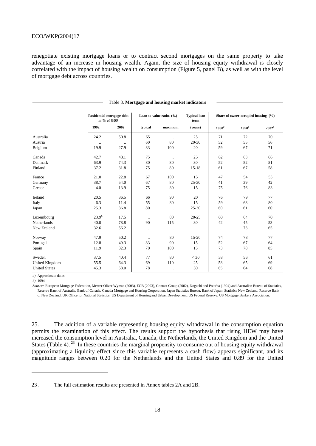renegotiate existing mortgage loans or to contract second mortgages on the same property to take advantage of an increase in housing wealth. Again, the size of housing equity withdrawal is closely correlated with the impact of housing wealth on consumption (Figure 5, panel B), as well as with the level of mortgage debt across countries.

|                      | <b>Residential mortgage debt</b><br>in % of GDP |          |           | Loan-to-value ratios (%) | <b>Typical loan</b><br>term | Share of owner-occupied housing (%) |          |          |  |
|----------------------|-------------------------------------------------|----------|-----------|--------------------------|-----------------------------|-------------------------------------|----------|----------|--|
|                      | 1992                                            | 2002     | typical   | maximum                  | (vears)                     | $1980^a$                            | $1990^a$ | $2002^a$ |  |
| Australia            | 24.2                                            | 50.8     | 65        | $\ddotsc$                | 25                          | 71                                  | 72       | 70       |  |
| Austria              | $\ddotsc$                                       | $\ldots$ | 60        | 80                       | $20 - 30$                   | 52                                  | 55       | 56       |  |
| Belgium              | 19.9                                            | 27.9     | 83        | 100                      | 20                          | 59                                  | 67       | 71       |  |
| Canada               | 42.7                                            | 43.1     | 75        | $\ldots$                 | 25                          | 62                                  | 63       | 66       |  |
| Denmark              | 63.9                                            | 74.3     | 80        | 80                       | 30                          | 52                                  | 52       | 51       |  |
| Finland              | 37.2                                            | 31.8     | 75        | 80                       | $15 - 18$                   | 61                                  | 67       | 58       |  |
| France               | 21.0                                            | 22.8     | 67        | 100                      | 15                          | 47                                  | 54       | 55       |  |
| Germany              | 38.7                                            | 54.0     | 67        | 80                       | 25-30                       | 41                                  | 39       | 42       |  |
| Greece               | 4.0                                             | 13.9     | 75        | 80                       | 15                          | 75                                  | 76       | 83       |  |
| Ireland              | 20.5                                            | 36.5     | 66        | 90                       | 20                          | 76                                  | 79       | 77       |  |
| Italy                | 6.3                                             | 11.4     | 55        | 80                       | 15                          | 59                                  | 68       | 80       |  |
| Japan                | 25.3                                            | 36.8     | 80        | $\ldots$                 | $25 - 30$                   | 60                                  | 61       | 60       |  |
| Luxembourg           | $23.9^{b}$                                      | 17.5     | $\ddotsc$ | 80                       | $20 - 25$                   | 60                                  | 64       | 70       |  |
| Netherlands          | 40.0                                            | 78.8     | 90        | 115                      | 30                          | 42                                  | 45       | 53       |  |
| New Zealand          | 32.6                                            | 56.2     | ٠.        | $\ldots$                 | $\ldots$                    | $\cdot$ .                           | 73       | 65       |  |
| Norway               | 47.9                                            | 50.2     | $\ldots$  | 80                       | $15 - 20$                   | 74                                  | 78       | 77       |  |
| Portugal             | 12.8                                            | 49.3     | 83        | 90                       | 15                          | 52                                  | 67       | 64       |  |
| Spain                | 11.9                                            | 32.3     | 70        | 100                      | 15                          | 73                                  | 78       | 85       |  |
| Sweden               | 37.5                                            | 40.4     | 77        | 80                       | $<$ 30                      | 58                                  | 56       | 61       |  |
| United Kingdom       | 55.5                                            | 64.3     | 69        | 110                      | 25                          | 58                                  | 65       | 69       |  |
| <b>United States</b> | 45.3                                            | 58.0     | 78        | $\ldots$                 | 30                          | 65                                  | 64       | 68       |  |

#### Table 3. **Mortgage and housing market indicators**

*a)* Approximate dates.

*b)* 1994

 $\overline{a}$ 

*Source:* European Mortgage Federation, Mercer Oliver Wyman (2003), ECB (2003), Contact Group (2002), Noguchi and Poterba (1994) and Australian Bureau of Statistics, Reserve Bank of Australia, Bank of Canada, Canada Mortgage and Housing Corporation, Japan Statistics Bureau, Bank of Japan, Statistics New Zealand, Reserve Bank of New Zealand, UK Office for National Statistics, US Department of Housing and Urban Development, US Federal Reserve, US Mortgage Bankers Association.

25. The addition of a variable representing housing equity withdrawal in the consumption equation permits the examination of this effect. The results support the hypothesis that rising HEW may have increased the consumption level in Australia, Canada, the Netherlands, the United Kingdom and the United States (Table 4).<sup>23</sup> In these countries the marginal propensity to consume out of housing equity withdrawal (approximating a liquidity effect since this variable represents a cash flow) appears significant, and its magnitude ranges between 0.20 for the Netherlands and the United States and 0.89 for the United

<sup>23 .</sup> The full estimation results are presented in Annex tables 2A and 2B.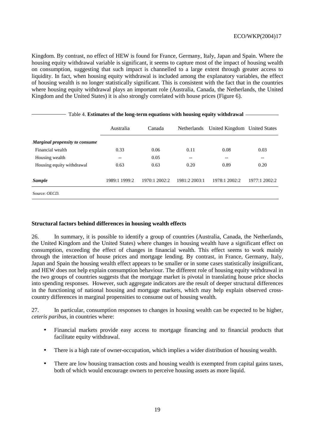Kingdom. By contrast, no effect of HEW is found for France, Germany, Italy, Japan and Spain. Where the housing equity withdrawal variable is significant, it seems to capture most of the impact of housing wealth on consumption, suggesting that such impact is channelled to a large extent through greater access to liquidity. In fact, when housing equity withdrawal is included among the explanatory variables, the effect of housing wealth is no longer statistically significant. This is consistent with the fact that in the countries where housing equity withdrawal plays an important role (Australia, Canada, the Netherlands, the United Kingdom and the United States) it is also strongly correlated with house prices (Figure 6).

|                                       | Australia     | Canada        | <b>Netherlands</b> | United Kingdom United States |               |
|---------------------------------------|---------------|---------------|--------------------|------------------------------|---------------|
| <b>Marginal propensity to consume</b> |               |               |                    |                              |               |
| Financial wealth                      | 0.33          | 0.06          | 0.11               | 0.08                         | 0.03          |
| Housing wealth                        | $- -$         | 0.05          | --                 |                              | $- -$         |
| Housing equity withdrawal             | 0.63          | 0.63          | 0.20               | 0.89                         | 0.20          |
| <b>Sample</b>                         | 1989:1 1999:2 | 1970:1 2002:2 | 1981:2 2003:1      | 1978:1 2002:2                | 1977:1 2002:2 |
| Source: OECD.                         |               |               |                    |                              |               |

# Table 4. **Estimates of the long-term equations with housing equity withdrawal**

# **Structural factors behind differences in housing wealth effects**

26. In summary, it is possible to identify a group of countries (Australia, Canada, the Netherlands, the United Kingdom and the United States) where changes in housing wealth have a significant effect on consumption, exceeding the effect of changes in financial wealth. This effect seems to work mainly through the interaction of house prices and mortgage lending. By contrast, in France, Germany, Italy, Japan and Spain the housing wealth effect appears to be smaller or in some cases statistically insignificant, and HEW does not help explain consumption behaviour. The different role of housing equity withdrawal in the two groups of countries suggests that the mortgage market is pivotal in translating house price shocks into spending responses. However, such aggregate indicators are the result of deeper structural differences in the functioning of national housing and mortgage markets, which may help explain observed crosscountry differences in marginal propensities to consume out of housing wealth.

27. In particular, consumption responses to changes in housing wealth can be expected to be higher, *ceteris paribus*, in countries where:

- Financial markets provide easy access to mortgage financing and to financial products that facilitate equity withdrawal.
- There is a high rate of owner-occupation, which implies a wider distribution of housing wealth.
- There are low housing transaction costs and housing wealth is exempted from capital gains taxes, both of which would encourage owners to perceive housing assets as more liquid.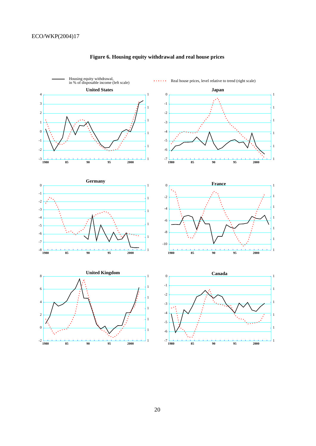

# **Figure 6. Housing equity withdrawal and real house prices**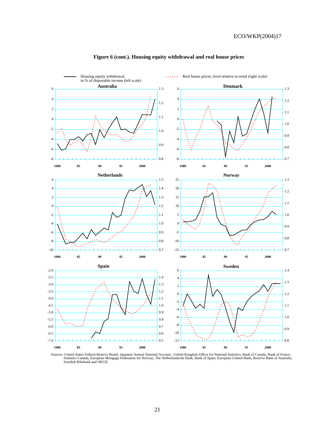

# **Figure 6 (cont.). Housing equity withdrawal and real house prices**

Sources: United States Federal Reserve Board, Japanese Annual National Account , United Kingdom Office for National Statistics, Bank of Canada, Bank of France,<br>Statistics Canada, European Mortgage Federation for Norway, Th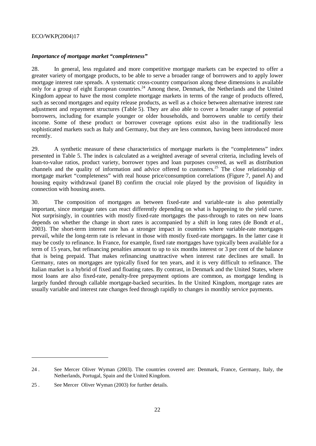# *Importance of mortgage market "completeness"*

28. In general, less regulated and more competitive mortgage markets can be expected to offer a greater variety of mortgage products, to be able to serve a broader range of borrowers and to apply lower mortgage interest rate spreads. A systematic cross-country comparison along these dimensions is available only for a group of eight European countries.<sup>24</sup> Among these, Denmark, the Netherlands and the United Kingdom appear to have the most complete mortgage markets in terms of the range of products offered, such as second mortgages and equity release products, as well as a choice between alternative interest rate adjustment and repayment structures (Table 5). They are also able to cover a broader range of potential borrowers, including for example younger or older households, and borrowers unable to certify their income. Some of these product or borrower coverage options exist also in the traditionally less sophisticated markets such as Italy and Germany, but they are less common, having been introduced more recently.

29. A synthetic measure of these characteristics of mortgage markets is the "completeness" index presented in Table 5. The index is calculated as a weighted average of several criteria, including levels of loan-to-value ratios, product variety, borrower types and loan purposes covered, as well as distribution channels and the quality of information and advice offered to customers.25 The close relationship of mortgage market "completeness" with real house price/consumption correlations (Figure 7, panel A) and housing equity withdrawal (panel B) confirm the crucial role played by the provision of liquidity in connection with housing assets.

30. The composition of mortgages as between fixed-rate and variable-rate is also potentially important, since mortgage rates can react differently depending on what is happening to the yield curve. Not surprisingly, in countries with mostly fixed-rate mortgages the pass-through to rates on new loans depends on whether the change in short rates is accompanied by a shift in long rates (de Bondt *et al.*, 2003). The short-term interest rate has a stronger impact in countries where variable-rate mortgages prevail, while the long-term rate is relevant in those with mostly fixed-rate mortgages. In the latter case it may be costly to refinance. In France, for example, fixed rate mortgages have typically been available for a term of 15 years, but refinancing penalties amount to up to six months interest or 3 per cent of the balance that is being prepaid. That makes refinancing unattractive when interest rate declines are small. In Germany, rates on mortgages are typically fixed for ten years, and it is very difficult to refinance. The Italian market is a hybrid of fixed and floating rates. By contrast, in Denmark and the United States, where most loans are also fixed-rate, penalty-free prepayment options are common, as mortgage lending is largely funded through callable mortgage-backed securities. In the United Kingdom, mortgage rates are usually variable and interest rate changes feed through rapidly to changes in monthly service payments.

 $\overline{a}$ 

<sup>24 .</sup> See Mercer Oliver Wyman (2003). The countries covered are: Denmark, France, Germany, Italy, the Netherlands, Portugal, Spain and the United Kingdom.

<sup>25 .</sup> See Mercer Oliver Wyman (2003) for further details.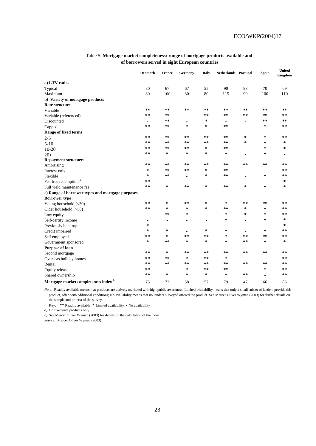|                                                  | <b>Denmark</b> | <b>France</b>  | <b>Germany</b> | Italy  | Netherlands Portugal |        | Spain          | <b>United</b><br>Kingdom |
|--------------------------------------------------|----------------|----------------|----------------|--------|----------------------|--------|----------------|--------------------------|
| a) LTV ratios                                    |                |                |                |        |                      |        |                |                          |
| Typical                                          | 80             | 67             | 67             | 55     | 90                   | 83     | 70             | 69                       |
| Maximum                                          | 80             | 100            | 80             | 80     | 115                  | 90     | 100            | 110                      |
| b) Variety of mortgage products                  |                |                |                |        |                      |        |                |                          |
| Rate structure                                   |                |                |                |        |                      |        |                |                          |
| Variable                                         | **             | **             | **             | **     | **                   | **     | **             | **                       |
| Variable (referenced)                            | **             | **             |                | **     | **                   | **     | **             | **                       |
| Discounted                                       | ۰              | **             |                | ∗      | $\blacksquare$       | ۰      | **             | **                       |
| Capped                                           | **             | **             | $\ast$         | ∗      | **                   | ä,     | ∗              | **                       |
| <b>Range of fixed terms</b>                      |                |                |                |        |                      |        |                |                          |
| $2 - 5$                                          | **             | **             | **             | **     | **                   | $\ast$ | ∗              | **                       |
| $5 - 10$                                         | **             | **             | **             | **     | **                   | $\ast$ | ∗              | *                        |
| $10 - 20$                                        | **             | **             | **             | ∗      | **                   | ٠      | ∗              | ∗                        |
| $20+$                                            | **             | ∗              | $\ast$         | ∗      | *                    |        | $\ast$         |                          |
| <b>Repayment structures</b>                      |                |                |                |        |                      |        |                |                          |
| Amortising                                       | **             | **             | **             | **     | **                   | **     | **             | **                       |
| Interest only                                    | ∗              | **             | **             | ∗      | **                   | ۰      | ٠              | **                       |
| Flexible                                         | $\ast$         | **             | ä,             | ∗      | **                   |        | $\ast$         | **                       |
| Fee-free redemption <sup>a</sup>                 | **             | $\blacksquare$ | ٠              | ٠      | $\blacksquare$       | ٠      | ٠              | *                        |
| Full yield maintenance fee                       | **             | ∗              | **             | $\ast$ | **                   | $\ast$ | $\ast$         | $\ast$                   |
| c) Range of borrower types and mortgage purposes |                |                |                |        |                      |        |                |                          |
| <b>Borrower</b> type                             |                |                |                |        |                      |        |                |                          |
| Young household (<30)                            | **             | ∗              | **             | ∗      | $\ast$               | **     | **             | **                       |
| Older household (>50)                            | **             | ∗              | ∗              | ∗      | **                   | ∗      | ∗              | **                       |
| Low equity                                       |                | **             | ∗              |        | ∗                    | $\ast$ | ∗              | **                       |
| Self-certify income                              | ۰              | $\blacksquare$ | ۰              | -      | *                    | -      | ∗              | *                        |
| Previously bankrupt                              | *              |                | ÷              | ٠      |                      | ۰      | ٠              | *                        |
| Credit impaired                                  | *              | ∗              | ۰              | $\ast$ | ∗                    | ۰      | ∗              | **                       |
| Self employed                                    | **             | ∗              | **             | **     | $\ast$               | **     | $***$          | **                       |
| Government sponsored                             | *              | **             | $\ast$         | ∗      | *                    | **     | ∗              | $\ast$                   |
| Purpose of loan                                  |                |                |                |        |                      |        |                |                          |
| Second mortgage                                  | **             | ∗              | **             | **     | **                   | **     | **             | **                       |
| Overseas holiday homes                           | **             | **             | $\ast$         | **     | ∗                    | ä,     | $\blacksquare$ | **                       |
| Rental                                           | **             | **             | **             | **     | **                   | **     | **             | **                       |
| Equity release                                   | **             | ٠              | ∗              | **     | **                   | ٠      | ∗              | **                       |
| Shared ownership                                 | **             | ∗              | ∗              | ∗      | *                    | **     |                | **                       |
| Mortgage market completeness index b             | 75             | 72             | 58             | 57     | 79                   | 47     | 66             | 86                       |

# Table 5. **Mortgage market completeness: range of mortgage products available and of borrowers served in eight European countries**

*Note:* Readily available means that products are actively marketed with high public awareness; Limited availability means that only a small subset of lenders provide this product, often with additional conditions; No availability means that no lenders surveyed offered the product. See Mercer Oliver Wyman (2003) for further details on the sample and criteria of the survey.

Key: **\*\*** Readily available **\*** Limited availability - No availability

*a)* On fixed-rate products only.

*b*) See Mercer Oliver Wyman (2003) for details on the calculation of the index.

*Source:* Mercer Oliver Wyman (2003).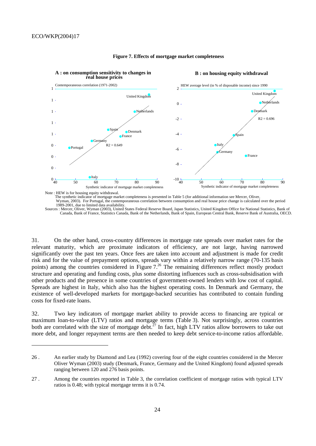

#### **Figure 7. Effects of mortgage market completeness**

 The synthetic indicator of mortgage market completeness is presented in Table 5 (for additional information see Mercer, Oliver, Wyman, 2003). For Portugal, the contemporaneous correlation between consumption and real house price change is calculated over the period

1989-2001, due to limited data availability.

 $\overline{a}$ 

Sources : Mercer, Oliver, Wyman (2003), United States Federal Reserve Board, Japan Statistics, United Kingdom Office for National Statistics, Bank of<br>Canada, Bank of France, Statistics Canada, Bank of the Netherlands, Bank

31. On the other hand, cross-country differences in mortgage rate spreads over market rates for the relevant maturity, which are proximate indicators of efficiency, are not large, having narrowed significantly over the past ten years. Once fees are taken into account and adjustment is made for credit risk and for the value of prepayment options, spreads vary within a relatively narrow range (70-135 basis points) among the countries considered in Figure 7.<sup>26</sup> The remaining differences reflect mostly product structure and operating and funding costs, plus some distorting influences such as cross-subsidisation with other products and the presence in some countries of government-owned lenders with low cost of capital. Spreads are highest in Italy, which also has the highest operating costs. In Denmark and Germany, the existence of well-developed markets for mortgage-backed securities has contributed to contain funding costs for fixed-rate loans.

32. Two key indicators of mortgage market ability to provide access to financing are typical or maximum loan-to-value (LTV) ratios and mortgage terms (Table 3). Not surprisingly, across countries both are correlated with the size of mortgage debt.<sup>27</sup> In fact, high LTV ratios allow borrowers to take out more debt, and longer repayment terms are then needed to keep debt service-to-income ratios affordable.

<sup>26 .</sup> An earlier study by Diamond and Lea (1992) covering four of the eight countries considered in the Mercer Oliver Wyman (2003) study (Denmark, France, Germany and the United Kingdom) found adjusted spreads ranging between 120 and 276 basis points.

<sup>27 .</sup> Among the countries reported in Table 3, the correlation coefficient of mortgage ratios with typical LTV ratios is 0.48; with typical mortgage terms it is 0.74.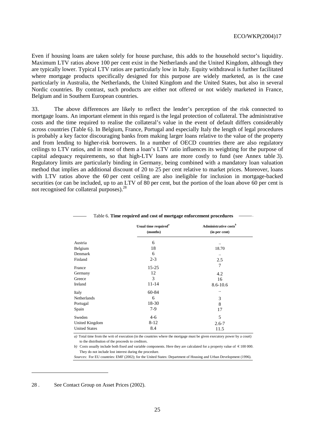Even if housing loans are taken solely for house purchase, this adds to the household sector's liquidity. Maximum LTV ratios above 100 per cent exist in the Netherlands and the United Kingdom, although they are typically lower. Typical LTV ratios are particularly low in Italy. Equity withdrawal is further facilitated where mortgage products specifically designed for this purpose are widely marketed, as is the case particularly in Australia, the Netherlands, the United Kingdom and the United States, but also in several Nordic countries. By contrast, such products are either not offered or not widely marketed in France, Belgium and in Southern European countries.

33. The above differences are likely to reflect the lender's perception of the risk connected to mortgage loans. An important element in this regard is the legal protection of collateral. The administrative costs and the time required to realise the collateral's value in the event of default differs considerably across countries (Table 6). In Belgium, France, Portugal and especially Italy the length of legal procedures is probably a key factor discouraging banks from making larger loans relative to the value of the property and from lending to higher-risk borrowers. In a number of OECD countries there are also regulatory ceilings to LTV ratios, and in most of them a loan's LTV ratio influences its weighting for the purpose of capital adequacy requirements, so that high-LTV loans are more costly to fund (see Annex table 3). Regulatory limits are particularly binding in Germany, being combined with a mandatory loan valuation method that implies an additional discount of 20 to 25 per cent relative to market prices. Moreover, loans with LTV ratios above the 60 per cent ceiling are also ineligible for inclusion in mortgage-backed securities (or can be included, up to an LTV of 80 per cent, but the portion of the loan above 60 per cent is not recognised for collateral purposes).28

|                      | Usual time required <sup>a</sup> | Administrative costs <sup>b</sup> |
|----------------------|----------------------------------|-----------------------------------|
|                      | (months)                         | (in per cent)                     |
| Austria              | 6                                |                                   |
| Belgium              | 18                               | 18.70                             |
| Denmark              | 6                                | $\cdot$ .                         |
| Finland              | $2 - 3$                          | 2.5                               |
| France               | $15 - 25$                        | 7                                 |
| Germany              | 12                               | 4.2                               |
| Greece               | 3                                | 16                                |
| Ireland              | 11-14                            | $8.6 - 10.6$                      |
| Italy                | 60-84                            |                                   |
| Netherlands          | 6                                | 3                                 |
| Portugal             | 18-30                            | 8                                 |
| Spain                | $7-9$                            | 17                                |
| Sweden               | $4 - 6$                          | 5                                 |
| United Kingdom       | $8 - 12$                         | $2.6 - 7$                         |
| <b>United States</b> | 8.4                              | 11.5                              |

Table 6. **Time required and cost of mortgage enforcement procedures**

*a)* Total time from the writ of execution (in the countries where the mortgage must be given executory power by a court) to the distribution of the proceeds to creditors.

*b*) Costs usually include both fixed and variable components. Here they are calculated for a property value of  $\epsilon$  100 000. They do not include lost interest during the procedure.

*Sources:* For EU countries: EMF (2002); for the United States: Department of Housing and Urban Development (1996).

28 . See Contact Group on Asset Prices (2002).

 $\overline{a}$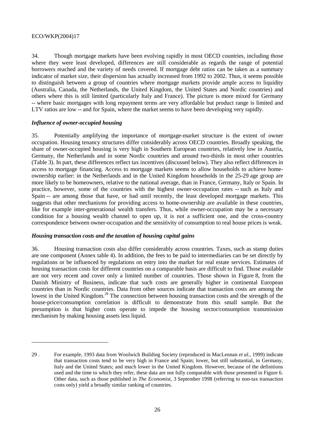$\overline{a}$ 

34. Though mortgage markets have been evolving rapidly in most OECD countries, including those where they were least developed, differences are still considerable as regards the range of potential borrowers reached and the variety of needs covered. If mortgage debt ratios can be taken as a summary indicator of market size, their dispersion has actually increased from 1992 to 2002. Thus, it seems possible to distinguish between a group of countries where mortgage markets provide ample access to liquidity (Australia, Canada, the Netherlands, the United Kingdom, the United States and Nordic countries) and others where this is still limited (particularly Italy and France). The picture is more mixed for Germany -- where basic mortgages with long repayment terms are very affordable but product range is limited and LTV ratios are low -- and for Spain, where the market seems to have been developing very rapidly.

# *Influence of owner-occupied housing*

35. Potentially amplifying the importance of mortgage-market structure is the extent of owner occupation. Housing tenancy structures differ considerably across OECD countries. Broadly speaking, the share of owner-occupied housing is very high in Southern European countries, relatively low in Austria, Germany, the Netherlands and in some Nordic countries and around two-thirds in most other countries (Table 3). In part, these differences reflect tax incentives (discussed below). They also reflect differences in access to mortgage financing. Access to mortgage markets seems to allow households to achieve homeownership earlier: in the Netherlands and in the United Kingdom households in the 25-29 age group are more likely to be homeowners, relative to the national average, than in France, Germany, Italy or Spain. In practice, however, some of the countries with the highest owner-occupation rates -- such as Italy and Spain -- are among those that have, or had until recently, the least developed mortgage markets. This suggests that other mechanisms for providing access to home-ownership are available in these countries, like for example inter-generational wealth transfers. Thus, while owner-occupation may be a necessary condition for a housing wealth channel to open up, it is not a sufficient one, and the cross-country correspondence between owner-occupation and the sensitivity of consumption to real house prices is weak.

# *Housing transaction costs and the taxation of housing capital gains*

36. Housing transaction costs also differ considerably across countries. Taxes, such as stamp duties are one component (Annex table 4). In addition, the fees to be paid to intermediaries can be set directly by regulations or be influenced by regulations on entry into the market for real estate services. Estimates of housing transaction costs for different countries on a comparable basis are difficult to find. Those available are not very recent and cover only a limited number of countries. Those shown in Figure 8, from the Danish Ministry of Business, indicate that such costs are generally higher in continental European countries than in Nordic countries. Data from other sources indicate that transaction costs are among the lowest in the United Kingdom.<sup>29</sup> The connection between housing transaction costs and the strength of the house-price/consumption correlation is difficult to demonstrate from this small sample. But the presumption is that higher costs operate to impede the housing sector/consumption transmission mechanism by making housing assets less liquid.

<sup>29 .</sup> For example, 1993 data from Woolwich Building Society (reproduced in MacLennan *et al.,* 1999) indicate that transaction costs tend to be very high in France and Spain; lower, but still substantial, in Germany, Italy and the United States; and much lower in the United Kingdom. However, because of the definitions used and the time to which they refer, these data are not fully comparable with those presented in Figure 6. Other data, such as those published in *The Economist*, 3 September 1998 (referring to non-tax transaction costs only) yield a broadly similar ranking of countries.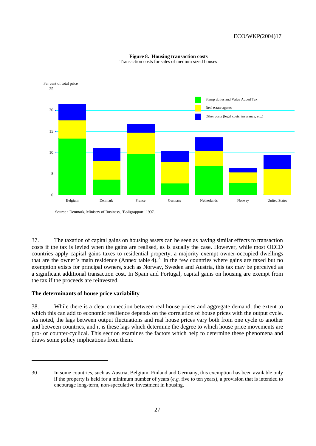

**Figure 8. Housing transaction costs** Transaction costs for sales of medium sized houses

Source : Denmark, Ministry of Business, 'Boligrapport' 1997.

37. The taxation of capital gains on housing assets can be seen as having similar effects to transaction costs if the tax is levied when the gains are realised, as is usually the case. However, while most OECD countries apply capital gains taxes to residential property, a majority exempt owner-occupied dwellings that are the owner's main residence (Annex table 4).<sup>30</sup> In the few countries where gains are taxed but no exemption exists for principal owners, such as Norway, Sweden and Austria, this tax may be perceived as a significant additional transaction cost. In Spain and Portugal, capital gains on housing are exempt from the tax if the proceeds are reinvested.

# **The determinants of house price variability**

 $\overline{a}$ 

38. While there is a clear connection between real house prices and aggregate demand, the extent to which this can add to economic resilience depends on the correlation of house prices with the output cycle. As noted, the lags between output fluctuations and real house prices vary both from one cycle to another and between countries, and it is these lags which determine the degree to which house price movements are pro- or counter-cyclical. This section examines the factors which help to determine these phenomena and draws some policy implications from them.

<sup>30 .</sup> In some countries, such as Austria, Belgium, Finland and Germany, this exemption has been available only if the property is held for a minimum number of years (*e.g.* five to ten years), a provision that is intended to encourage long-term, non-speculative investment in housing.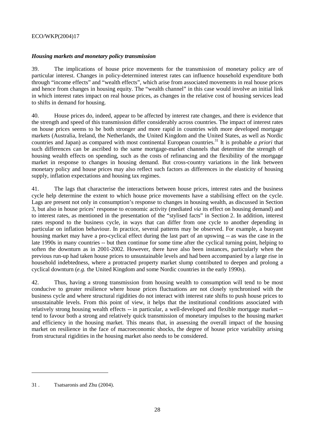# *Housing markets and monetary policy transmission*

39. The implications of house price movements for the transmission of monetary policy are of particular interest. Changes in policy-determined interest rates can influence household expenditure both through "income effects" and "wealth effects", which arise from associated movements in real house prices and hence from changes in housing equity. The "wealth channel" in this case would involve an initial link in which interest rates impact on real house prices, as changes in the relative cost of housing services lead to shifts in demand for housing.

40. House prices do, indeed, appear to be affected by interest rate changes, and there is evidence that the strength and speed of this transmission differ considerably across countries. The impact of interest rates on house prices seems to be both stronger and more rapid in countries with more developed mortgage markets (Australia, Ireland, the Netherlands, the United Kingdom and the United States, as well as Nordic countries and Japan) as compared with most continental European countries.<sup>31</sup> It is probable *a priori* that such differences can be ascribed to the same mortgage-market channels that determine the strength of housing wealth effects on spending, such as the costs of refinancing and the flexibility of the mortgage market in response to changes in housing demand. But cross-country variations in the link between monetary policy and house prices may also reflect such factors as differences in the elasticity of housing supply, inflation expectations and housing tax regimes.

41. The lags that characterise the interactions between house prices, interest rates and the business cycle help determine the extent to which house price movements have a stabilising effect on the cycle. Lags are present not only in consumption's response to changes in housing wealth, as discussed in Section 3, but also in house prices' response to economic activity (mediated *via* its effect on housing demand) and to interest rates, as mentioned in the presentation of the "stylised facts" in Section 2. In addition, interest rates respond to the business cycle, in ways that can differ from one cycle to another depending in particular on inflation behaviour. In practice, several patterns may be observed. For example, a buoyant housing market may have a pro-cyclical effect during the last part of an upswing -- as was the case in the late 1990s in many countries -- but then continue for some time after the cyclical turning point, helping to soften the downturn as in 2001-2002. However, there have also been instances, particularly when the previous run-up had taken house prices to unsustainable levels and had been accompanied by a large rise in household indebtedness, where a protracted property market slump contributed to deepen and prolong a cyclical downturn (*e.g.* the United Kingdom and some Nordic countries in the early 1990s).

42. Thus, having a strong transmission from housing wealth to consumption will tend to be most conducive to greater resilience where house prices fluctuations are not closely synchronised with the business cycle and where structural rigidities do not interact with interest rate shifts to push house prices to unsustainable levels. From this point of view, it helps that the institutional conditions associated with relatively strong housing wealth effects -- in particular, a well-developed and flexible mortgage market - tend to favour both a strong and relatively quick transmission of monetary impulses to the housing market and efficiency in the housing market. This means that, in assessing the overall impact of the housing market on resilience in the face of macroeconomic shocks, the degree of house price variability arising from structural rigidities in the housing market also needs to be considered.

 $\overline{a}$ 

<sup>31 .</sup> Tsatsaronis and Zhu (2004).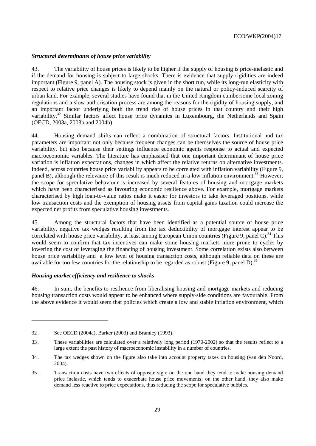# *Structural determinants of house price variability*

43. The variability of house prices is likely to be higher if the supply of housing is price-inelastic and if the demand for housing is subject to large shocks. There is evidence that supply rigidities are indeed important (Figure 9, panel A). The housing stock is given in the short run, while its long-run elasticity with respect to relative price changes is likely to depend mainly on the natural or policy-induced scarcity of urban land. For example, several studies have found that in the United Kingdom cumbersome local zoning regulations and a slow authorisation process are among the reasons for the rigidity of housing supply, and an important factor underlying both the trend rise of house prices in that country and their high variability.<sup>32</sup> Similar factors affect house price dynamics in Luxembourg, the Netherlands and Spain (OECD, 2003a, 2003b and 2004b).

44. Housing demand shifts can reflect a combination of structural factors. Institutional and tax parameters are important not only because frequent changes can be themselves the source of house price variability, but also because their settings influence economic agents response to actual and expected macroeconomic variables. The literature has emphasised that one important determinant of house price variation is inflation expectations, changes in which affect the relative returns on alternative investments. Indeed, across countries house price variability appears to be correlated with inflation variability (Figure 9, panel B), although the relevance of this result is much reduced in a low-inflation environment.<sup>33</sup> However, the scope for speculative behaviour is increased by several features of housing and mortgage markets which have been characterised as favouring economic resilience above. For example, mortgage markets characterised by high loan-to-value ratios make it easier for investors to take leveraged positions, while low transaction costs and the exemption of housing assets from capital gains taxation could increase the expected net profits from speculative housing investments.

45. Among the structural factors that have been identified as a potential source of house price variability, negative tax wedges resulting from the tax deductibility of mortgage interest appear to be correlated with house price variability, at least among European Union countries (Figure 9, panel  $C$ ).<sup>34</sup> This would seem to confirm that tax incentives can make some housing markets more prone to cycles by lowering the cost of leveraging the financing of housing investment. Some correlation exists also between house price variability and a low level of housing transaction costs, although reliable data on these are available for too few countries for the relationship to be regarded as robust (Figure 9, panel D).<sup>35</sup>

# *Housing market efficiency and resilience to shocks*

 $\overline{a}$ 

46. In sum, the benefits to resilience from liberalising housing and mortgage markets and reducing housing transaction costs would appear to be enhanced where supply-side conditions are favourable. From the above evidence it would seem that policies which create a low and stable inflation environment, which

<sup>32 .</sup> See OECD (2004a), Barker (2003) and Bramley (1993).

<sup>33 .</sup> These variabilities are calculated over a relatively long period (1970-2002) so that the results reflect to a large extent the past history of macroeconomic instability in a number of countries.

<sup>34 .</sup> The tax wedges shown on the figure also take into account property taxes on housing (van den Noord, 2004).

<sup>35 .</sup> Transaction costs have two effects of opposite sign: on the one hand they tend to make housing demand price inelastic, which tends to exacerbate house price movements; on the other hand, they also make demand less reactive to price expectations, thus reducing the scope for speculative bubbles.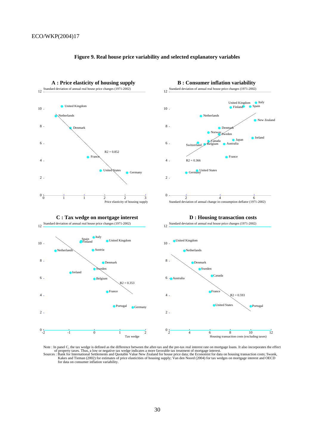

# **Figure 9. Real house price variability and selected explanatory variables**

Note : In panel C, the tax wedge is defined as the difference between the after-tax and the pre-tax real interest rate on mortgage loans. It also incorporates the effect<br>of property taxes. Thus, a low or negative tax wedge for data on consumer inflation variability.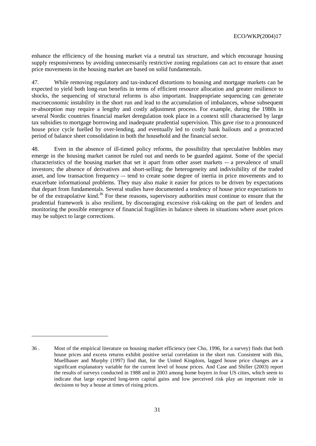enhance the efficiency of the housing market via a neutral tax structure, and which encourage housing supply responsiveness by avoiding unnecessarily restrictive zoning regulations can act to ensure that asset price movements in the housing market are based on solid fundamentals.

47. While removing regulatory and tax-induced distortions to housing and mortgage markets can be expected to yield both long-run benefits in terms of efficient resource allocation and greater resilience to shocks, the sequencing of structural reforms is also important. Inappropriate sequencing can generate macroeconomic instability in the short run and lead to the accumulation of imbalances, whose subsequent re-absorption may require a lengthy and costly adjustment process. For example, during the 1980s in several Nordic countries financial market deregulation took place in a context still characterised by large tax subsidies to mortgage borrowing and inadequate prudential supervision. This gave rise to a pronounced house price cycle fuelled by over-lending, and eventually led to costly bank bailouts and a protracted period of balance sheet consolidation in both the household and the financial sector.

48. Even in the absence of ill-timed policy reforms, the possibility that speculative bubbles may emerge in the housing market cannot be ruled out and needs to be guarded against. Some of the special characteristics of the housing market that set it apart from other asset markets -- a prevalence of small investors; the absence of derivatives and short-selling; the heterogeneity and indivisibility of the traded asset, and low transaction frequency –- tend to create some degree of inertia in price movements and to exacerbate informational problems. They may also make it easier for prices to be driven by expectations that depart from fundamentals. Several studies have documented a tendency of house price expectations to be of the extrapolative kind.<sup>36</sup> For these reasons, supervisory authorities must continue to ensure that the prudential framework is also resilient, by discouraging excessive risk-taking on the part of lenders and monitoring the possible emergence of financial fragilities in balance sheets in situations where asset prices may be subject to large corrections.

 $\overline{a}$ 

<sup>36 .</sup> Most of the empirical literature on housing market efficiency (see Cho, 1996, for a survey) finds that both house prices and excess returns exhibit positive serial correlation in the short run. Consistent with this, Muellbauer and Murphy (1997) find that, for the United Kingdom, lagged house price changes are a significant explanatory variable for the current level of house prices. And Case and Shiller (2003) report the results of surveys conducted in 1988 and in 2003 among home buyers in four US cities, which seem to indicate that large expected long-term capital gains and low perceived risk play an important role in decisions to buy a house at times of rising prices.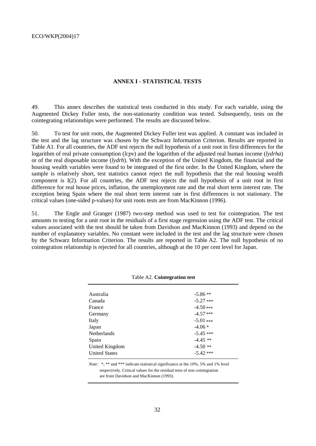# **ANNEX I - STATISTICAL TESTS**

49. This annex describes the statistical tests conducted in this study. For each variable, using the Augmented Dickey Fuller tests, the non-stationarity condition was tested. Subsequently, tests on the cointegrating relationships were performed. The results are discussed below.

50. To test for unit roots, the Augmented Dickey Fuller test was applied. A constant was included in the test and the lag structure was chosen by the Schwarz Information Criterion. Results are reported in Table A1. For all countries, the ADF test rejects the null hypothesis of a unit root in first differences for the logarithm of real private consumption (*lcpv*) and the logarithm of the adjusted real human income (*lydrha*) or of the real disposable income (*lydrh*). With the exception of the United Kingdom, the financial and the housing wealth variables were found to be integrated of the first order. In the United Kingdom, where the sample is relatively short, test statistics cannot reject the null hypothesis that the real housing wealth component is I(2). For all countries, the ADF test rejects the null hypothesis of a unit root in first difference for real house prices, inflation, the unemployment rate and the real short term interest rate. The exception being Spain where the real short term interest rate in first differences is not stationary. The critical values (one-sided p-values) for unit roots tests are from MacKinnon (1996).

51. The Engle and Granger (1987) two-step method was used to test for cointegration. The test amounts to testing for a unit root in the residuals of a first stage regression using the ADF test. The critical values associated with the test should be taken from Davidson and MacKinnon (1993) and depend on the number of explanatory variables. No constant were included in the test and the lag structure were chosen by the Schwarz Information Criterion. The results are reported in Table A2. The null hypothesis of no cointegration relationship is rejected for all countries, although at the 10 per cent level for Japan.

| Australia            | $-5.86**$   |
|----------------------|-------------|
| Canada               | $-5.27$ *** |
| France               | $-4.50***$  |
| Germany              | $-4.57$ *** |
| Italy                | $-5.01$ *** |
| Japan                | $-4.06*$    |
| <b>Netherlands</b>   | $-5.45$ *** |
| Spain                | $-4.45**$   |
| United Kingdom       | $-4.50**$   |
| <b>United States</b> | $-5.42$ *** |
|                      |             |

Table A2. **Cointegration test**

*Note:* \*, \*\* and \*\*\* indicate statistical significance at the 10%, 5% and 1% level respectively. Critical values for the residual tests of non cointegration are from Davidson and MacKinnon (1993).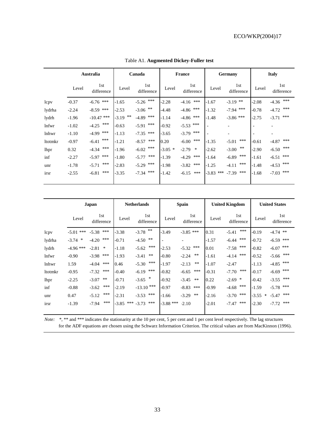|         | <b>Australia</b> |                   | Canada                |                   | <b>France</b> |                   | <b>Germany</b> |                   | <b>Italy</b> |                   |
|---------|------------------|-------------------|-----------------------|-------------------|---------------|-------------------|----------------|-------------------|--------------|-------------------|
|         | Level            | 1st<br>difference | Level                 | 1st<br>difference | Level         | 1st<br>difference | Level          | 1st<br>difference | Level        | 1st<br>difference |
| lcpy    | $-0.37$          | $-6.76$ ***       | $-1.65$               | $-5.26$ ***       | $-2.28$       | $-4.16$ ***       | $-1.67$        | $-3.19$ **        | $-2.08$      | $-4.36$ ***       |
| lydrha  | $-2.24$          | $-8.59$ ***       | $-2.53$               | $-3.06$ **        | -4.48         | $-4.86$ ***       | $-1.32$        | $-7.94$ ***       | $-0.78$      | $-4.72$ ***       |
| lydrh   | $-1.96$          | $-10.47$ ***      | $-3.19$ <sup>**</sup> | $-4.89$ ***       | $-1.14$       | $-4.86$ ***       | $-1.48$        | $-3.86$ ***       | $-2.75$      | ***<br>$-3.71$    |
| lnfwr   | $-1.02$          | $-4.25$ ***       | $-0.63$               | ***<br>$-5.91$    | $-0.92$       | $-5.53$ ***       |                |                   |              |                   |
| lnhwr   | $-1.10$          | $-4.99$ ***       | $-1.13$               | $-7.35$ ***       | $-3.65$       | $-3.79$ ***       |                |                   |              |                   |
| ltotmkr | $-0.97$          | $***$<br>$-6.41$  | $-1.21$               | ***<br>$-8.57$    | 0.20          | $***$<br>$-6.00$  | $-1.35$        | $***$<br>$-5.01$  | $-0.61$      | ***<br>$-4.87$    |
| lhpr    | 0.32             | ***<br>$-4.34$    | $-1.96$               | ***<br>$-6.02$    | $-3.05$ *     | $-2.79$<br>$\ast$ | $-2.62$        | $**$<br>$-3.00$   | $-2.90$      | ***<br>$-6.50$    |
| inf     | $-2.27$          | $***$<br>$-5.97$  | $-1.80$               | ***<br>$-5.77$    | $-1.39$       | $-4.29$ ***       | $-1.64$        | ***<br>$-6.89$    | $-1.61$      | ***<br>$-6.51$    |
| unr     | $-1.78$          | $***$<br>$-5.71$  | $-2.83$               | $-5.29$ ***       | $-1.98$       | ***<br>$-3.82$    | $-1.25$        | ***<br>$-4.11$    | $-1.48$      | $-4.53$ ***       |
| irsr    | $-2.55$          | ***<br>$-6.81$    | $-3.35$               | $-7.34$ ***       | $-1.42$       | $-6.15$<br>***    | $-3.83$ ***    | $-7.39$ ***       | $-1.68$      | $-7.03$ ***       |

Table A1. **Augmented Dickey-Fuller test**

|             | Japan        |                   | <b>Netherlands</b> |                       | <b>Spain</b>             |                              | <b>United Kingdom</b> |                   | <b>United States</b> |                   |
|-------------|--------------|-------------------|--------------------|-----------------------|--------------------------|------------------------------|-----------------------|-------------------|----------------------|-------------------|
|             | Level        | 1st<br>difference | Level              | 1st<br>difference     | Level                    | 1st<br>difference            | Level                 | 1st<br>difference | Level                | 1st<br>difference |
| lcpy        | $-5.01$ ***  | ***<br>$-5.38$    | $-3.38$            | $\ast\ast$<br>$-3.78$ | $-3.49$                  | $-3.85$ ***                  | 0.31                  | ***<br>$-5.41$    | $-0.19$              | $-4.74$ **        |
| lydrha      | ∗<br>$-3.74$ | ***<br>$-4.20$    | $-0.71$            | $**$<br>$-4.50$       | $\overline{\phantom{a}}$ | $\qquad \qquad \blacksquare$ | $-1.57$               | ***<br>$-6.44$    | $-0.72$              | $-6.59$ ***       |
| lydrh       | $-4.96$ ***  | $-2.81$<br>*      | $-1.18$            | ***<br>$-5.62$        | $-2.53$                  | ***<br>$-5.32$               | 0.01                  | ***<br>$-7.58$    | $-0.82$              | $-6.07$ ***       |
| lnfwr       | $-0.90$      | ***<br>$-3.98$    | $-1.93$            | $**$<br>$-3.41$       | $-0.80$                  | **<br>$-2.24$                | $-1.61$               | ***<br>$-4.14$    | $-0.52$              | ***<br>$-5.66$    |
| lnhwr       | 1.59         | $-4.04$<br>***    | 0.46               | ***<br>$-5.30$        | $-1.97$                  | **<br>$-2.13$                | $-1.07$               | $-2.47$           | $-1.13$              | $-4.85$ ***       |
| ltotmkr     | $-0.95$      | $***$<br>$-7.32$  | $-0.40$            | ***<br>$-6.19$        | $-0.82$                  | $***$<br>$-6.65$             | $-0.31$               | ***<br>$-7.70$    | $-0.17$              | $-6.69$ ***       |
| <b>lhpr</b> | $-2.25$      | **<br>$-3.07$     | $-0.71$            | $\ast$<br>$-3.65$     | $-0.92$                  | $-3.45$<br>$\ast\ast$        | 0.22                  | $-2.69$ *         | $-0.42$              | $-3.55$ ***       |
| inf         | $-0.88$      | ***<br>$-3.62$    | $-2.19$            | $-13.10$ ***          | $-0.97$                  | $-8.83$<br>***               | $-0.99$               | ***<br>$-4.68$    | $-1.59$              | $-5.78$ ***       |
| unr         | 0.47         | ***<br>$-5.12$    | $-2.31$            | ***<br>$-3.53$        | $-1.66$                  | $\ast\ast$<br>$-3.29$        | $-2.16$               | ***<br>$-3.70$    | $-3.55$<br>$^\star$  | ***<br>$-5.47$    |
| irsr        | $-1.39$      | ***<br>$-7.94$    | $-3.85$ ***        | ***<br>$-3.73$        | $-3.88$ ***              | $-2.10$                      | $-2.01$               | ***<br>$-7.47$    | $-2.30$              | ***<br>$-7.72$    |
|             |              |                   |                    |                       |                          |                              |                       |                   |                      |                   |

*Note:* \*, \*\* and \*\*\* indicates the stationarity at the 10 per cent, 5 per cent and 1 per cent level respectively. The lag structures for the ADF equations are chosen using the Schwarz Information Criterion. The critical values are from MacKinnon (1996).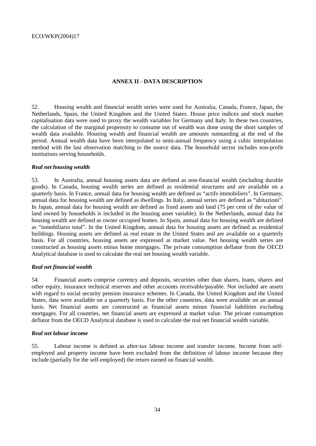# **ANNEX II - DATA DESCRIPTION**

52. Housing wealth and financial wealth series were used for Australia, Canada, France, Japan, the Netherlands, Spain, the United Kingdom and the United States. House price indices and stock market capitalisation data were used to proxy the wealth variables for Germany and Italy. In these two countries, the calculation of the marginal propensity to consume out of wealth was done using the short samples of wealth data available. Housing wealth and financial wealth are amounts outstanding at the end of the period. Annual wealth data have been interpolated to semi-annual frequency using a cubic interpolation method with the last observation matching to the source data. The household sector includes non-profit institutions serving households.

# *Real net housing wealth*

53. In Australia, annual housing assets data are defined as non-financial wealth (including durable goods). In Canada, housing wealth series are defined as residential structures and are available on a quarterly basis. In France, annual data for housing wealth are defined as "actifs immobiliers". In Germany, annual data for housing wealth are defined as dwellings. In Italy, annual series are defined as "abitazioni". In Japan, annual data for housing wealth are defined as fixed assets and land (75 per cent of the value of land owned by households is included in the housing asset variable). In the Netherlands, annual data for housing wealth are defined as owner occupied homes. In Spain, annual data for housing wealth are defined as "inmobiliario total". In the United Kingdom, annual data for housing assets are defined as residential buildings. Housing assets are defined as real estate in the United States and are available on a quarterly basis. For all countries, housing assets are expressed at market value. Net housing wealth series are constructed as housing assets minus home mortgages. The private consumption deflator from the OECD Analytical database is used to calculate the real net housing wealth variable.

# *Real net financial wealth*

54. Financial assets comprise currency and deposits, securities other than shares, loans, shares and other equity, insurance technical reserves and other accounts receivable/payable. Not included are assets with regard to social security pension insurance schemes. In Canada, the United Kingdom and the United States, data were available on a quarterly basis. For the other countries, data were available on an annual basis. Net financial assets are constructed as financial assets minus financial liabilities excluding mortgages. For all countries, net financial assets are expressed at market value. The private consumption deflator from the OECD Analytical database is used to calculate the real net financial wealth variable.

# *Real net labour income*

55. Labour income is defined as after-tax labour income and transfer income. Income from selfemployed and property income have been excluded from the definition of labour income because they include (partially for the self-employed) the return earned on financial wealth.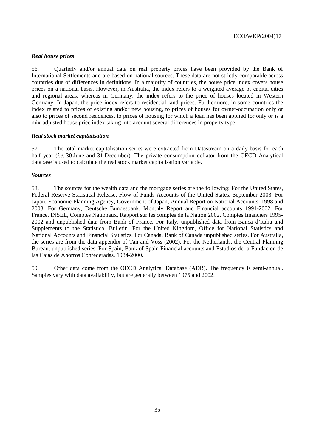# *Real house prices*

56. Quarterly and/or annual data on real property prices have been provided by the Bank of International Settlements and are based on national sources. These data are not strictly comparable across countries due of differences in definitions. In a majority of countries, the house price index covers house prices on a national basis. However, in Australia, the index refers to a weighted average of capital cities and regional areas, whereas in Germany, the index refers to the price of houses located in Western Germany. In Japan, the price index refers to residential land prices. Furthermore, in some countries the index related to prices of existing and/or new housing, to prices of houses for owner-occupation only or also to prices of second residences, to prices of housing for which a loan has been applied for only or is a mix-adjusted house price index taking into account several differences in property type.

# *Real stock market capitalisation*

57. The total market capitalisation series were extracted from Datastream on a daily basis for each half year *(<i>i.e.* 30 June and 31 December). The private consumption deflator from the OECD Analytical database is used to calculate the real stock market capitalisation variable.

# *Sources*

58. The sources for the wealth data and the mortgage series are the following: For the United States, Federal Reserve Statistical Release, Flow of Funds Accounts of the United States, September 2003. For Japan, Economic Planning Agency, Government of Japan, Annual Report on National Accounts, 1998 and 2003. For Germany, Deutsche Bundesbank, Monthly Report and Financial accounts 1991-2002. For France, INSEE, Comptes Nationaux, Rapport sur les comptes de la Nation 2002, Comptes financiers 1995- 2002 and unpublished data from Bank of France. For Italy, unpublished data from Banca d'Italia and Supplements to the Statistical Bulletin. For the United Kingdom, Office for National Statistics and National Accounts and Financial Statistics. For Canada, Bank of Canada unpublished series. For Australia, the series are from the data appendix of Tan and Voss (2002). For the Netherlands, the Central Planning Bureau, unpublished series. For Spain, Bank of Spain Financial accounts and Estudios de la Fundacion de las Cajas de Ahorros Confederadas, 1984-2000.

59. Other data come from the OECD Analytical Database (ADB). The frequency is semi-annual. Samples vary with data availability, but are generally between 1975 and 2002.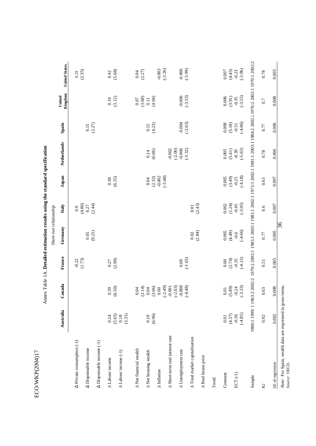| ç |  |
|---|--|
|   |  |
|   |  |
|   |  |
|   |  |

|                                                            |                        |                             |                                                       | Short-run relationship |                                     |                                   |                                                                                                                          |                        |                                                                 |                       |
|------------------------------------------------------------|------------------------|-----------------------------|-------------------------------------------------------|------------------------|-------------------------------------|-----------------------------------|--------------------------------------------------------------------------------------------------------------------------|------------------------|-----------------------------------------------------------------|-----------------------|
|                                                            | Australia              | Canada                      | France                                                | Germany                | Italy                               | Japan                             | Netherlands                                                                                                              | Spain                  | Kingdom<br>United                                               | <b>United States</b>  |
| A Private consumption (-1)                                 |                        |                             | $-0.22$<br>(1.73)                                     |                        |                                     |                                   |                                                                                                                          |                        |                                                                 | 0.23                  |
| A Disponsable income                                       |                        |                             |                                                       | $\frac{0.65}{(9.21)}$  | $0.6$<br>$0.86$<br>$0.27$<br>$0.44$ |                                   |                                                                                                                          | $\frac{0.15}{(2.27)}$  |                                                                 | (2.35)                |
| A Disponsable income (-1)                                  |                        |                             |                                                       |                        |                                     |                                   |                                                                                                                          |                        |                                                                 |                       |
| A Labour income                                            | (5.65)<br>0.24         | (6.50)<br>0.39              | (2.90)<br>0.27                                        |                        |                                     | $\frac{0.38}{(6.35)}$             |                                                                                                                          |                        | (3.12)<br>0.19                                                  | $0.42$<br>(5.68)      |
| A Labour income (-1)                                       | (3.31)<br>0.18         |                             |                                                       |                        |                                     |                                   |                                                                                                                          |                        |                                                                 |                       |
| A Net financial wealth                                     |                        | (2.14)<br>0.04              |                                                       |                        |                                     |                                   |                                                                                                                          |                        |                                                                 | $0.04$<br>(2.27)      |
| A Net housing wealth                                       | $0.10$<br>(6.96)       | 0.04                        |                                                       |                        |                                     | $0.04\,$                          | (6.06)<br>$0.14\,$                                                                                                       | (4.23)<br>0.12         | $\begin{array}{c} 0.07 \\ 0.68) \\ 0.11 \\ 0.4.94) \end{array}$ |                       |
| A Inflation                                                |                        | $(-2.49)$<br>(3.06)<br>0.00 |                                                       |                        |                                     | $(2.32)$<br>$-0.002$<br>$(-3.48)$ |                                                                                                                          |                        |                                                                 | $-0.003$<br>$(-3.26)$ |
| A Short-term real interest rate                            |                        | $-0.001$                    |                                                       |                        |                                     |                                   | $-0.002$                                                                                                                 |                        |                                                                 |                       |
| A Unemployment rate                                        |                        | $(-2.03)$<br>$(-4.48)$      | $0.00$<br>(-1.63)                                     |                        |                                     |                                   | $(-2.00)$<br>$(-3.32)$                                                                                                   | $-0.004$<br>$(-2.63)$  | $-0.006$<br>$(-3.33)$                                           | $-0.006$<br>$(-3.99)$ |
| A Total market capitalisation                              |                        |                             |                                                       | (2.84)<br>$0.02\,$     | (2.43)<br>0.01                      |                                   |                                                                                                                          |                        |                                                                 |                       |
| A Real house price                                         |                        |                             |                                                       |                        |                                     |                                   |                                                                                                                          |                        |                                                                 |                       |
| Trend                                                      |                        |                             |                                                       |                        |                                     |                                   |                                                                                                                          |                        |                                                                 |                       |
| Constant                                                   | 0.01                   | $0.01$                      |                                                       | 0.005                  | $0.002$<br>(1.24)                   | 0.005                             | 0.005                                                                                                                    | 0.008                  | $\frac{0.006}{(3.91)}$                                          | $0.007$               |
| $ECT (-1)$                                                 | (4.37)                 | (5.89)<br>$-0.24$           | $\begin{array}{c} 0.00 \\ (2.74) \\ 0.35 \end{array}$ | (4.49)<br>$-0.6$       |                                     | (3.49)<br>$-0.25$                 | $(5.41)$<br>$-0.39$<br>$(-5.63)$                                                                                         | (5.18)                 |                                                                 | (4.45)<br>$-0.23$     |
|                                                            | $-0.36$<br>( $-4.85$ ) | $(-3.33)$                   | (4.13)                                                | $(-4.66)$              | $-0.45$<br>(-3.95)                  | $(-4.18)$                         |                                                                                                                          | $-0.51$<br>( $-4.86$ ) | $-0.35$<br>(-3.55)                                              | $(-3.06)$             |
| Sample                                                     |                        |                             |                                                       |                        |                                     |                                   | 1988:11999: 11963:22002:21079:22002:11985:12003:11981:12002:11973:12002:11981:1203:11984:22002:21076:22002:11970:12002:2 |                        |                                                                 |                       |
| R <sub>2</sub>                                             | 0.92                   | 0.63                        | 0.51                                                  | 0.77                   | 0.6                                 | 0.63                              | 0.78                                                                                                                     | 0.77                   | 0.7                                                             | 0.78                  |
| SE of regression                                           | 0.002                  | 0.008                       | 0.005                                                 | 0.005                  | 0.007                               | 0.007                             | 0.006                                                                                                                    | 0.006                  | 0.008                                                           | 0.005                 |
| Note: For Spain, wealth data are expressed in gross terms. |                        |                             |                                                       | $\frac{96}{5}$         |                                     |                                   |                                                                                                                          |                        |                                                                 |                       |

Annex Table 1A. Detailed estimation results using the standard specification Annex Table 1A. **Detailed estimation results using the standard specification**

Source: OECD. *Source:* OECD.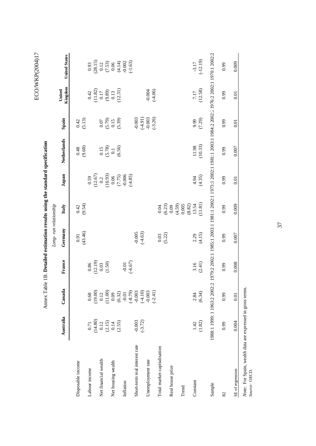|                                                                             |                                                                     |                                                        |                                               | Annex Table 1B. Detailed estimation results using the standard specification |                            |                                                                                                |                                                                                                                                           |                                                                 |                                                                                     |                                                                                           |
|-----------------------------------------------------------------------------|---------------------------------------------------------------------|--------------------------------------------------------|-----------------------------------------------|------------------------------------------------------------------------------|----------------------------|------------------------------------------------------------------------------------------------|-------------------------------------------------------------------------------------------------------------------------------------------|-----------------------------------------------------------------|-------------------------------------------------------------------------------------|-------------------------------------------------------------------------------------------|
|                                                                             |                                                                     |                                                        |                                               | Long-run relationship                                                        |                            |                                                                                                |                                                                                                                                           |                                                                 |                                                                                     |                                                                                           |
|                                                                             | Australia                                                           | Canada                                                 | France                                        | Germany                                                                      | Italy                      | Japan                                                                                          | Netherlands                                                                                                                               | Spain                                                           | Kingdom<br>United                                                                   | <b>United States</b>                                                                      |
| Disposable income                                                           |                                                                     |                                                        |                                               | (43.46)<br>0.91                                                              | (9.54)                     |                                                                                                | (9.68)<br>0.48                                                                                                                            | (5.13)<br>$0.42\,$                                              |                                                                                     |                                                                                           |
| Labour income                                                               |                                                                     | (19.00)<br>0.68                                        | $\frac{0.86}{(12.19)}$                        |                                                                              |                            | 0.59                                                                                           |                                                                                                                                           |                                                                 |                                                                                     |                                                                                           |
| Net financial wealth                                                        |                                                                     | $\frac{0.12}{(11.00)}$                                 | $\begin{array}{c} 0.03 \\ (1.50) \end{array}$ |                                                                              |                            |                                                                                                |                                                                                                                                           |                                                                 |                                                                                     |                                                                                           |
| Net housing wealth                                                          | 0.71<br>$(14.80)$<br>$0.12$<br>$0.15$<br>$0.14$<br>$0.14$<br>$0.25$ |                                                        |                                               |                                                                              |                            |                                                                                                | $\begin{array}{c} 0.15 \\ (5.78) \\ 0.1 \\ (6.56) \end{array}$                                                                            | $\begin{array}{c} 0.07 \\ (5.79) \\ 0.15 \\ (5.39) \end{array}$ | $\begin{array}{c} 0.42 \\ (11.82) \\ 0.17 \\ (9.89) \\ 0.13 \\ (12.31) \end{array}$ |                                                                                           |
| Inflation                                                                   |                                                                     | $0.09$<br>$(6.32)$<br>$-0.01$<br>$(-8.79)$<br>$-0.003$ | $(-6.67)$<br>$-0.01$                          |                                                                              |                            | $\begin{array}{c} (12.67) \\ 0.2 \\ (10.93) \\ 0.06 \\ (7.75) \\ -0.006 \\ (4.85) \end{array}$ |                                                                                                                                           |                                                                 |                                                                                     | 0.93<br>$(28.15)$<br>$(1.2)$<br>$(7.53)$<br>$(0.06)$<br>$(4.14)$<br>$(4.14)$<br>$(0.002)$ |
| Short-term real interest rate                                               | $-0.003$<br>$(-3.72)$                                               |                                                        |                                               | $-0.005$                                                                     |                            |                                                                                                |                                                                                                                                           | $-0.003$                                                        |                                                                                     |                                                                                           |
| Unemployment rate                                                           |                                                                     | $(4.10)$<br>0.003<br>$(-2.41)$                         |                                               | $(-4.63)$                                                                    |                            |                                                                                                |                                                                                                                                           | (19.4)<br>$(-3.26)$<br>$-0.003$                                 | $-0.004$<br>$(-4.06)$                                                               |                                                                                           |
| Total market capitalisation                                                 |                                                                     |                                                        |                                               | (5.22)<br>0.03                                                               | 0.04                       |                                                                                                |                                                                                                                                           |                                                                 |                                                                                     |                                                                                           |
| Real house price                                                            |                                                                     |                                                        |                                               |                                                                              | $(6.23)$<br>0.09           |                                                                                                |                                                                                                                                           |                                                                 |                                                                                     |                                                                                           |
| Trend                                                                       |                                                                     |                                                        |                                               |                                                                              | $(4.59)$<br>0.005          |                                                                                                |                                                                                                                                           |                                                                 |                                                                                     |                                                                                           |
| Constant                                                                    | $1.42$<br>(1.82)                                                    | $2.84$<br>(6.34)                                       | $3.16$<br>(2.41)                              | $2.29$<br>(4.15)                                                             | (11.81)<br>(8.82)<br>13.54 | (4.35)<br>4.94                                                                                 | 11.98<br>(10.33)                                                                                                                          | (7.29)<br>9.99                                                  | (12.58)<br>7.17                                                                     | $-3.17$<br>$(-12.19)$                                                                     |
| Sample                                                                      |                                                                     |                                                        |                                               |                                                                              |                            |                                                                                                | 1988:11999: 11963:22002:2 1979:2 2002:1 1985:1 2003:1 1981:1 2002:1 1973:1 2002:1 1981:1 2003:1 1984:2 2002:2 1976:2 2002:1 1970:1 2002:2 |                                                                 |                                                                                     |                                                                                           |
| R <sub>2</sub>                                                              | 0.99                                                                | 0.99                                                   | 0.99                                          | 0.99                                                                         | 0.99                       | 0.99                                                                                           | 0.99                                                                                                                                      | 0.99                                                            | 0.99                                                                                | 0.99                                                                                      |
| SE of regression                                                            | 0.004                                                               | 0.01                                                   | 0.008                                         | 0.007                                                                        | 0.009                      | 0.01                                                                                           | 0.007                                                                                                                                     | 0.01                                                            | 0.01                                                                                | 0.009                                                                                     |
| Note: For Spain, wealth data are expressed in gross terms.<br>Source: OECD. |                                                                     |                                                        |                                               |                                                                              |                            |                                                                                                |                                                                                                                                           |                                                                 |                                                                                     |                                                                                           |

ECO/WKP(2004)17

37  $37$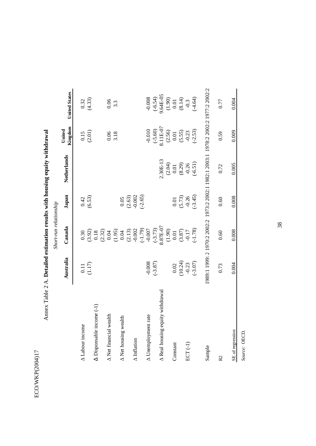ECO/WKP(2004)17 ECO/WKP(2004)17

|                                  |                    | Short-run relationship |                      |                                                                                     |                                                     |                                                                                                |
|----------------------------------|--------------------|------------------------|----------------------|-------------------------------------------------------------------------------------|-----------------------------------------------------|------------------------------------------------------------------------------------------------|
|                                  | Australia          | Canada                 | Japan                | Netherlands                                                                         | Kingdom<br>United                                   | <b>United States</b>                                                                           |
| A Labour income                  | 0.11               | 0.30                   | 0.42                 |                                                                                     | 0.15                                                | 0.32                                                                                           |
|                                  | (1.17)             |                        | (6.53)               |                                                                                     | (2.01)                                              | (4.33)                                                                                         |
| A Disponsable income (-1)        |                    |                        |                      |                                                                                     |                                                     |                                                                                                |
|                                  |                    |                        |                      |                                                                                     |                                                     |                                                                                                |
| A Net financial wealth           |                    |                        |                      |                                                                                     | 0.06                                                | 0.06                                                                                           |
|                                  |                    |                        |                      |                                                                                     | 3.18                                                |                                                                                                |
| A Net housing wealth             |                    |                        | 0.05                 |                                                                                     |                                                     |                                                                                                |
|                                  |                    |                        |                      |                                                                                     |                                                     |                                                                                                |
| A Inflation                      |                    |                        | $(2.63)$<br>$-0.002$ |                                                                                     |                                                     |                                                                                                |
|                                  |                    |                        | $(-2.65)$            |                                                                                     |                                                     |                                                                                                |
| A Unemployment rate              | $-0.008$           |                        |                      |                                                                                     | $-0.010$                                            | $-0.008$                                                                                       |
|                                  | $(-3.87)$          | $(-3.73)$<br>8.87E-07  |                      |                                                                                     | $(-5.60)$<br>8.11E-07                               |                                                                                                |
| A Real housing equity withdrawal |                    |                        |                      | $2.30E-13$                                                                          |                                                     |                                                                                                |
|                                  |                    | (1.90)                 |                      |                                                                                     |                                                     |                                                                                                |
| Constant                         | 0.02               | $0.01$                 | $0.01$               |                                                                                     |                                                     |                                                                                                |
|                                  | (10.24)            | (3.87)                 | (5.73)               |                                                                                     |                                                     |                                                                                                |
| $ECT(-1)$                        |                    | $-0.17$                | $-0.26$              |                                                                                     |                                                     |                                                                                                |
|                                  | $-0.23$<br>(-3.07) | $(-1.78)$              | $(-3.45)$            | $(2.04)$<br>$0.01$<br>$(8.29)$<br>$0.26$<br>$(-6.51)$                               | $(2.56)$<br>$0.01$<br>$0.55$<br>$0.23$<br>$(-2.53)$ | $(-6.54)$<br>$9.64E-05$<br>$(1.90)$<br>$(1.90)$<br>$(0.01)$<br>$(0.14)$<br>$-0.3$<br>$(-4.64)$ |
|                                  |                    |                        |                      |                                                                                     |                                                     |                                                                                                |
| Sample                           |                    |                        |                      | 1989: 1999: 2 1970:2 2002:2 1973:2 2002:1 1982:1 2003:1 1978:2 2002:2 1977:2 2002:2 |                                                     |                                                                                                |
| R <sub>2</sub>                   | 0.73               | 0.60                   | 0.60                 | 0.72                                                                                | 0.59                                                | 0.77                                                                                           |
| SE of regression                 | 0.004              | 0.008                  | 0.008                | 0.005                                                                               | 0.009                                               | 0.004                                                                                          |
| Source: OECD.                    |                    |                        |                      |                                                                                     |                                                     |                                                                                                |

Annex Table 2 A. Detailed estimation results with housing equity withdrawal Annex Table 2 A. **Detailed estimation results with housing equity withdrawal**

38  $38$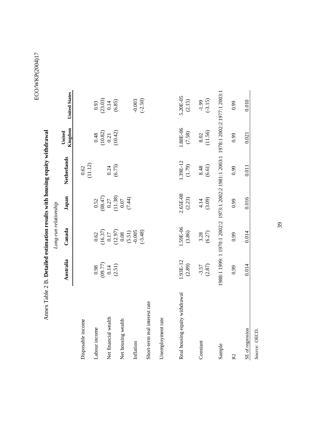ECO/WKP(2004)17 ECO/WKP(2004)17

|                                |                                                          | Long-run relationship                                                           |                                                                                      |                                                                                          |                                   |                             |
|--------------------------------|----------------------------------------------------------|---------------------------------------------------------------------------------|--------------------------------------------------------------------------------------|------------------------------------------------------------------------------------------|-----------------------------------|-----------------------------|
|                                | Australia                                                | Canada                                                                          | Japan                                                                                | Netherlands                                                                              | Kingdom<br>United                 | <b>United States</b>        |
| Disposable income              |                                                          |                                                                                 |                                                                                      | (11.12)<br>0.62                                                                          |                                   |                             |
| Labour income                  | 0.98                                                     | 0.62                                                                            | 0.52                                                                                 |                                                                                          | 0.48                              | 0.93                        |
| Net financial wealth           | $\begin{array}{c} (09.77) \\ 0.14 \\ (2.51) \end{array}$ |                                                                                 | $\begin{array}{c} (08.47) \\ 0.27 \\ 1.38) \\ (11.38) \\ 0.07 \\ (7.44) \end{array}$ | 0.24                                                                                     | (10.82)<br>$\frac{0.21}{(10.42)}$ | $(23.03)$<br>0.14<br>(6.85) |
| Net housing wealth             |                                                          |                                                                                 |                                                                                      | (6.75)                                                                                   |                                   |                             |
| Inflation                      |                                                          | $(16.37)$<br>$0.17$<br>$(12.97)$<br>$0.08$<br>$(5.51)$<br>$-0.005$<br>$(-5.48)$ |                                                                                      |                                                                                          |                                   | $(-2.50)$<br>$-0.003$       |
| Short-term real interest rate  |                                                          |                                                                                 |                                                                                      |                                                                                          |                                   |                             |
| Unemployment rate              |                                                          |                                                                                 |                                                                                      |                                                                                          |                                   |                             |
| Real housing equity withdrawal | 1.93E-12<br>(2.89)                                       | 1.59E-06<br>(3.86)                                                              | $2.65E-08$<br>(2.23)                                                                 | 1.39E-12<br>(1.79)                                                                       | 1.88E-06<br>(7.58)                | 5.20E-05<br>(2.15)          |
| Constant                       | (2.87)<br>$-3.57$                                        | (6.27)<br>3.28                                                                  | (3.09)<br>4.14                                                                       | $8.48$<br>(6.61)                                                                         | (11.56)<br>8.02                   | $-1.99$<br>$(-3.15)$        |
| Sample                         |                                                          |                                                                                 |                                                                                      | 1970: 1970: 1970: 1973: 1973: 1973: 1981: 1981: 1981: 1978: 1978: 1978: 1977: 1977: 1900 |                                   |                             |
| R <sub>2</sub>                 | 0.99                                                     | 0.99                                                                            | 0.99                                                                                 | 0.99                                                                                     | 0.99                              | 0.99                        |
| SE of regression               | 0.014                                                    | 0.014                                                                           | 0.016                                                                                | 0.011                                                                                    | 0.021                             | 0.010                       |

Annex Table 2 B. Detailed estimation results with housing equity withdrawal Annex Table 2 B. **Detailed estimation results with housing equity withdrawal**

39  $39$ 

*Source:* OECD.

Source: OECD.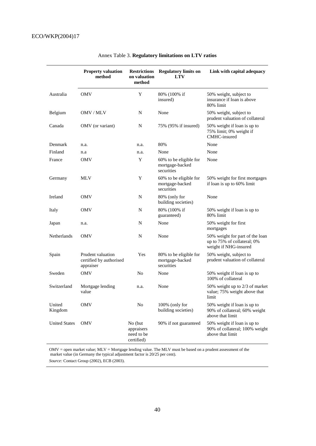|                      | <b>Property valuation</b><br>method                       | <b>Restrictions</b><br>on valuation<br>method     | <b>Regulatory limits on</b><br><b>LTV</b>               | Link with capital adequacy                                                              |
|----------------------|-----------------------------------------------------------|---------------------------------------------------|---------------------------------------------------------|-----------------------------------------------------------------------------------------|
| Australia            | <b>OMV</b>                                                | Y                                                 | 80% (100% if<br>insured)                                | 50% weight, subject to<br>insurance if loan is above<br>80% limit                       |
| Belgium              | OMV / MLV                                                 | N                                                 | None                                                    | 50% weight, subject to<br>prudent valuation of collateral                               |
| Canada               | OMV (or variant)                                          | N                                                 | 75% (95% if insured)                                    | 50% weight if loan is up to<br>75% limit; 0% weight if<br>CMHC-insured                  |
| Denmark              | n.a.                                                      | n.a.                                              | 80%                                                     | None                                                                                    |
| Finland              | n.a                                                       | n.a.                                              | None                                                    | None                                                                                    |
| France               | OMV                                                       | Y                                                 | 60% to be eligible for<br>mortgage-backed<br>securities | None                                                                                    |
| Germany              | MLV                                                       | Y                                                 | 60% to be eligible for<br>mortgage-backed<br>securities | 50% weight for first mortgages<br>if loan is up to 60% limit                            |
| Ireland              | <b>OMV</b>                                                | N                                                 | 80% (only for<br>building societies)                    | None                                                                                    |
| Italy                | OMV                                                       | N                                                 | 80% (100% if<br>guaranteed)                             | 50% weight if loan is up to<br>80% limit                                                |
| Japan                | n.a.                                                      | N                                                 | None                                                    | 50% weight for first<br>mortgages                                                       |
| Netherlands          | OMV                                                       | N                                                 | None                                                    | 50% weight for part of the loan<br>up to 75% of collateral; 0%<br>weight if NHG-insured |
| Spain                | Prudent valuation<br>certified by authorised<br>appraiser | Yes                                               | 80% to be eligible for<br>mortgage-backed<br>securities | 50% weight, subject to<br>prudent valuation of collateral                               |
| Sweden               | <b>OMV</b>                                                | No                                                | None                                                    | 50% weight if loan is up to<br>100% of collateral                                       |
| Switzerland          | Mortgage lending<br>value                                 | n.a.                                              | None                                                    | 50% weight up to 2/3 of market<br>value; 75% weight above that<br>limit                 |
| United<br>Kingdom    | <b>OMV</b>                                                | No                                                | 100% (only for<br>building societies)                   | 50% weight if loan is up to<br>90% of collateral; 60% weight<br>above that limit        |
| <b>United States</b> | <b>OMV</b>                                                | No (but<br>appraisers<br>need to be<br>certified) | 90% if not guaranteed                                   | 50% weight if loan is up to<br>90% of collateral; 100% weight<br>above that limit       |

# Annex Table 3. **Regulatory limitations on LTV ratios**

OMV = open market value; MLV = Mortgage lending value. The MLV must be based on a prudent assessment of the market value (in Germany the typical adjustment factor is 20/25 per cent). *Source:* Contact Group (2002), ECB (2003).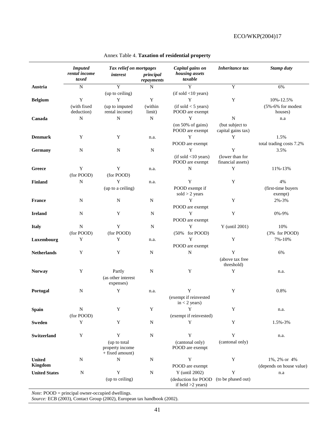|                      | <b>Imputed</b><br>rental income<br>taxed | Tax relief on mortgages<br>interest                | principal<br>repayments | Capital gains on<br>housing assets<br>taxable                | Inheritance tax                       | <b>Stamp duty</b>                  |
|----------------------|------------------------------------------|----------------------------------------------------|-------------------------|--------------------------------------------------------------|---------------------------------------|------------------------------------|
| Austria              | $\overline{N}$                           | $\overline{Y}$                                     | ${\bf N}$               | $\overline{Y}$                                               | $\overline{Y}$                        | 6%                                 |
|                      |                                          | (up to ceiling)                                    |                         | (if sold < 10 years)                                         |                                       |                                    |
| <b>Belgium</b>       | $\mathbf Y$                              | Y                                                  | Y                       | Y                                                            | Y                                     | 10%-12.5%                          |
|                      | (with fixed<br>deduction)                | (up to imputed<br>rental income)                   | (within<br>limit)       | (if sold < 5 years)<br>POOD are exempt                       |                                       | $(5\% - 6\%$ for modest<br>houses) |
| Canada               | N                                        | $\mathbf N$                                        | N                       | Y                                                            | $\mathbf N$                           | n.a                                |
|                      |                                          |                                                    |                         | (on 50% of gains)<br>POOD are exempt                         | (but subject to<br>capital gains tax) |                                    |
| <b>Denmark</b>       | Y                                        | Y                                                  | n.a.                    | Y                                                            | Y                                     | 1.5%                               |
|                      |                                          |                                                    |                         | POOD are exempt                                              |                                       | total trading costs 7.2%           |
| <b>Germany</b>       | $\mathbf N$                              | $\mathbf N$                                        | $\mathbf N$             | Y                                                            | $\mathbf Y$                           | 3.5%                               |
|                      |                                          |                                                    |                         | (if sold < 10 years)<br>POOD are exempt                      | (lower than for<br>financial assets)  |                                    |
| <b>Greece</b>        | Y                                        | Y                                                  | n.a.                    | ${\bf N}$                                                    | Y                                     | 11%-13%                            |
|                      | (for POOD)                               | (for POOD)                                         |                         |                                                              |                                       |                                    |
| <b>Finland</b>       | N                                        | Y                                                  | n.a.                    | Y                                                            | Y                                     | 4%                                 |
|                      |                                          | (up to a ceiling)                                  |                         | POOD exempt if<br>$sold > 2$ years                           |                                       | (first-time buyers<br>exempt)      |
| France               | $\mathbf N$                              | $\mathbf N$                                        | N                       | Y                                                            | Y                                     | 2%-3%                              |
|                      |                                          |                                                    |                         | POOD are exempt                                              |                                       |                                    |
| <b>Ireland</b>       | N                                        | Y                                                  | $\mathbf N$             | Y                                                            | Y                                     | 0%-9%                              |
|                      |                                          |                                                    |                         | POOD are exempt                                              |                                       |                                    |
| <b>Italy</b>         | ${\bf N}$                                | Y                                                  | ${\bf N}$               | Y                                                            | Y (until 2001)                        | 10%                                |
|                      | (for POOD)                               | (for POOD)                                         |                         | (50% for POOD)                                               |                                       | (3% for POOD)                      |
| Luxembourg           | Y                                        | Y                                                  | n.a.                    | Y                                                            | Y                                     | 7%-10%                             |
|                      |                                          |                                                    |                         | POOD are exempt                                              |                                       |                                    |
| <b>Netherlands</b>   | Y                                        | Y                                                  | N                       | N                                                            | Y                                     | 6%                                 |
|                      |                                          |                                                    |                         |                                                              | (above tax free<br>threshold)         |                                    |
| <b>Norway</b>        | Y                                        | Partly<br>(as other interest<br>expenses)          | N                       | Y                                                            | Y                                     | n.a.                               |
| Portugal             | N                                        | Y                                                  | n.a.                    | Y                                                            | Y                                     | 0.8%                               |
|                      |                                          |                                                    |                         | (exempt if reinvested<br>in $<$ 2 years)                     |                                       |                                    |
| Spain                | N                                        | Y                                                  | $\mathbf Y$             | Y                                                            | Y                                     | n.a.                               |
|                      | (for POOD)                               |                                                    |                         | (exempt if reinvested)                                       |                                       |                                    |
| Sweden               | $\mathbf Y$                              | Y                                                  | N                       | Y                                                            | $\mathbf Y$                           | 1.5%-3%                            |
| <b>Switzerland</b>   | $\mathbf Y$                              | Y                                                  | N                       | Y                                                            | $\mathbf Y$                           | n.a.                               |
|                      |                                          | (up to total<br>property income<br>+ fixed amount) |                         | (cantonal only)<br>POOD are exempt                           | (cantonal only)                       |                                    |
| <b>United</b>        | N                                        | $\mathbf N$                                        | N                       | Y                                                            | Y                                     | 1%, 2% or 4%                       |
| <b>Kingdom</b>       |                                          |                                                    |                         | POOD are exempt                                              |                                       | (depends on house value)           |
| <b>United States</b> | N                                        | Y<br>(up to ceiling)                               | $\mathbf N$             | Y (until 2002)<br>(deduction for POOD<br>if held $>2$ years) | Y<br>(to be phased out)               | $\rm n.a$                          |

# Annex Table 4. **Taxation of residential property**

*Note:* POOD = principal owner-occupied dwellings.

*Source:* ECB (2003), Contact Group (2002), European tax handbook (2002).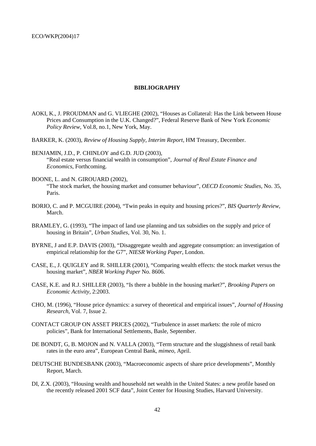# **BIBLIOGRAPHY**

- AOKI, K., J. PROUDMAN and G. VLIEGHE (2002), "Houses as Collateral: Has the Link between House Prices and Consumption in the U.K. Changed?", Federal Reserve Bank of New York *Economic Policy Review*, Vol.8, no.1, New York, May.
- BARKER, K. (2003), *Review of Housing Supply, Interim Report*, HM Treasury, December.
- BENJAMIN, J.D., P. CHINLOY and G.D. JUD (2003), "Real estate versus financial wealth in consumption", *Journal of Real Estate Finance and Economics*, Forthcoming.
- BOONE, L. and N. GIROUARD (2002), "The stock market, the housing market and consumer behaviour", *OECD Economic Studies*, No. 35, Paris.
- BORIO, C. and P. MCGUIRE (2004), "Twin peaks in equity and housing prices?", *BIS Quarterly Review*, March.
- BRAMLEY, G. (1993), "The impact of land use planning and tax subsidies on the supply and price of housing in Britain", *Urban Studies*, Vol. 30, No. 1.
- BYRNE, J and E.P. DAVIS (2003), "Disaggregate wealth and aggregate consumption: an investigation of empirical relationship for the G7", *NIESR Working Paper*, London.
- CASE, E., J. QUIGLEY and R. SHILLER (2001), "Comparing wealth effects: the stock market versus the housing market", *NBER Working Paper* No. 8606.
- CASE, K.E. and R.J. SHILLER (2003), "Is there a bubble in the housing market?", *Brooking Papers on Economic Activity,* 2:2003.
- CHO, M. (1996), "House price dynamics: a survey of theoretical and empirical issues", *Journal of Housing Research*, Vol. 7, Issue 2.
- CONTACT GROUP ON ASSET PRICES (2002), "Turbulence in asset markets: the role of micro policies", Bank for International Settlements, Basle, September.
- DE BONDT, G, B. MOJON and N. VALLA (2003), "Term structure and the sluggishness of retail bank rates in the euro area", European Central Bank, *mimeo*, April.
- DEUTSCHE BUNDESBANK (2003), "Macroeconomic aspects of share price developments", Monthly Report, March.
- DI, Z.X. (2003), "Housing wealth and household net wealth in the United States: a new profile based on the recently released 2001 SCF data", Joint Center for Housing Studies, Harvard University.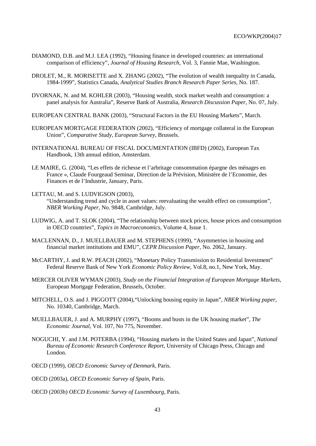- DIAMOND, D.B. and M.J. LEA (1992), "Housing finance in developed countries: an international comparison of efficiency", *Journal of Housing Research*, Vol. 3, Fannie Mae, Washington.
- DROLET, M., R. MORISETTE and X. ZHANG (2002), "The evolution of wealth inequality in Canada, 1984-1999", Statistics Canada, *Analytical Studies Branch Research Paper Series,* No. 187.
- DVORNAK, N. and M. KOHLER (2003), "Housing wealth, stock market wealth and consumption: a panel analysis for Australia", Reserve Bank of Australia, *Research Discussion Paper,* No. 07, July.
- EUROPEAN CENTRAL BANK (2003), "Structural Factors in the EU Housing Markets", March.
- EUROPEAN MORTGAGE FEDERATION (2002), "Efficiency of mortgage collateral in the European Union", *Comparative Study*, *European Survey*, Brussels.
- INTERNATIONAL BUREAU OF FISCAL DOCUMENTATION (IBFD) (2002), European Tax Handbook, 13th annual edition, Amsterdam.
- LE MAIRE, G. (2004), "Les effets de richesse et l'arbritage consommation épargne des ménages en France », Claude Fourgeaud Seminar, Direction de la Prévision, Ministère de l'Economie, des Finances et de l'Industrie, January, Paris.
- LETTAU, M. and S. LUDVIGSON (2003), "Understanding trend and cycle in asset values: reevaluating the wealth effect on consumption", *NBER Working Paper,* No. 9848, Cambridge, July.
- LUDWIG, A. and T. SLOK (2004), "The relationship between stock prices, house prices and consumption in OECD countries", *Topics in Macroeconomics*, Volume 4, Issue 1.
- MACLENNAN, D., J. MUELLBAUER and M. STEPHENS (1999), "Asymmetries in housing and financial market institutions and EMU", *CEPR Discussion Paper,* No. 2062, January.
- McCARTHY, J. and R.W. PEACH (2002), "Monetary Policy Transmission to Residential Investment" Federal Reserve Bank of New York *Economic Policy Review*, Vol.8, no.1, New York, May.
- MERCER OLIVER WYMAN (2003), *Study on the Financial Integration of European Mortgage Markets*, European Mortgage Federation, Brussels, October.
- MITCHELL, O.S. and J. PIGGOTT (2004),"Unlocking housing equity in Japan", *NBER Working paper*, No. 10340, Cambridge, March.
- MUELLBAUER, J. and A. MURPHY (1997), "Booms and busts in the UK housing market", *The Economic Journal*, Vol. 107, No 775, November.
- NOGUCHI, Y. and J.M. POTERBA (1994), "Housing markets in the United States and Japan", *National Bureau of Economic Research Conference Report*, University of Chicago Press, Chicago and London.
- OECD (1999), *OECD Economic Survey of Denmark*, Paris.
- OECD (2003a), *OECD Economic Survey of Spain*, Paris.
- OECD (2003b) *OECD Economic Survey of Luxembourg*, Paris.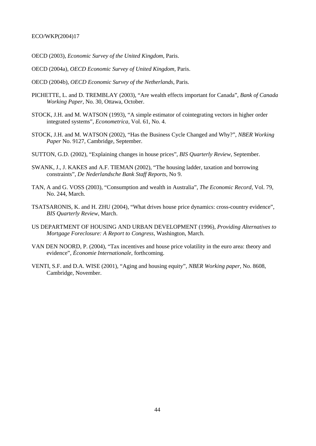- OECD (2003), *Economic Survey of the United Kingdom*, Paris.
- OECD (2004a), *OECD Economic Survey of United Kingdom*, Paris.
- OECD (2004b), *OECD Economic Survey of the Netherlands*, Paris.
- PICHETTE, L. and D. TREMBLAY (2003), "Are wealth effects important for Canada", *Bank of Canada Working Paper*, No. 30, Ottawa, October.
- STOCK, J.H. and M. WATSON (1993), "A simple estimator of cointegrating vectors in higher order integrated systems", *Econometrica*, Vol. 61, No. 4.
- STOCK, J.H. and M. WATSON (2002), "Has the Business Cycle Changed and Why?", *NBER Working Paper* No. 9127, Cambridge, September.
- SUTTON, G.D. (2002), "Explaining changes in house prices", *BIS Quarterly Review*, September.
- SWANK, J., J. KAKES and A.F. TIEMAN (2002), "The housing ladder, taxation and borrowing constraints", *De Nederlandsche Bank Staff Reports*, No 9.
- TAN, A and G. VOSS (2003), "Consumption and wealth in Australia", *The Economic Record*, Vol. 79, No. 244, March.
- TSATSARONIS, K. and H. ZHU (2004), "What drives house price dynamics: cross-country evidence", *BIS Quarterly Review*, March.
- US DEPARTMENT OF HOUSING AND URBAN DEVELOPMENT (1996), *Providing Alternatives to Mortgage Foreclosure: A Report to Congress*, Washington, March.
- VAN DEN NOORD, P. (2004), "Tax incentives and house price volatility in the euro area: theory and evidence", *Économie Internationale*, forthcoming.
- VENTI, S.F. and D.A. WISE (2001), "Aging and housing equity", *NBER Working paper,* No. 8608, Cambridge, November.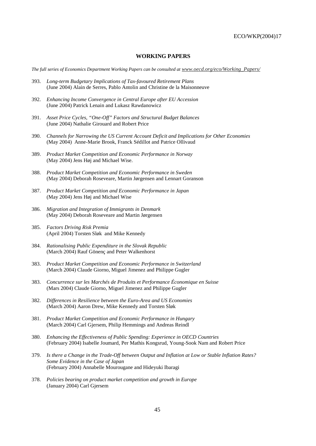# **WORKING PAPERS**

*The full series of Economics Department Working Papers can be consulted at www.oecd.org/eco/Working\_Papers/*

- 393. *Long-term Budgetary Implications of Tax-favoured Retirement Plans* (June 2004) Alain de Serres, Pablo Antolin and Christine de la Maisonneuve
- 392. *Enhancing Income Convergence in Central Europe after EU Accession*  (June 2004) Patrick Lenain and Lukasz Rawdanowicz
- 391. *Asset Price Cycles, "One-Off" Factors and Structural Budget Balances*  (June 2004) Nathalie Girouard and Robert Price
- 390. *Channels for Narrowing the US Current Account Deficit and Implications for Other Economies* (May 2004) Anne-Marie Brook, Franck Sédillot and Patrice Ollivaud
- 389. *Product Market Competition and Economic Performance in Norway*  (May 2004) Jens Høj and Michael Wise.
- 388. *Product Market Competition and Economic Performance in Sweden*  (May 2004) Deborah Roseveare, Martin Jørgensen and Lennart Goranson
- 387. *Product Market Competition and Economic Performance in Japan* (May 2004) Jens Høj and Michael Wise
- 386. *Migration and Integration of Immigrants in Denmark* (May 2004) Deborah Roseveare and Martin Jørgensen
- 385. *Factors Driving Risk Premia* (April 2004) Torsten Sløk and Mike Kennedy
- 384. *Rationalising Public Expenditure in the Slovak Republic*  (March 2004) Rauf Gönenç and Peter Walkenhorst
- 383. *Product Market Competition and Economic Performance in Switzerland* (March 2004) Claude Giorno, Miguel Jimenez and Philippe Gugler
- 383. *Concurrence sur les Marchés de Produits et Performance Économique en Suisse*  (Mars 2004) Claude Giorno, Miguel Jimenez and Philippe Gugler
- 382. *Differences in Resilience between the Euro-Area and US Economies*  (March 2004) Aaron Drew, Mike Kennedy and Torsten Sløk
- 381. *Product Market Competition and Economic Performance in Hungary*  (March 2004) Carl Gjersem, Philip Hemmings and Andreas Reindl
- 380. *Enhancing the Effectiveness of Public Spending: Experience in OECD Countries*  (February 2004) Isabelle Joumard, Per Mathis Kongsrud, Young-Sook Nam and Robert Price
- 379. *Is there a Change in the Trade-Off between Output and Inflation at Low or Stable Inflation Rates? Some Evidence in the Case of Japan*  (February 2004) Annabelle Mourougane and Hideyuki Ibaragi
- 378. *Policies bearing on product market competition and growth in Europe*  (January 2004) Carl Gjersem